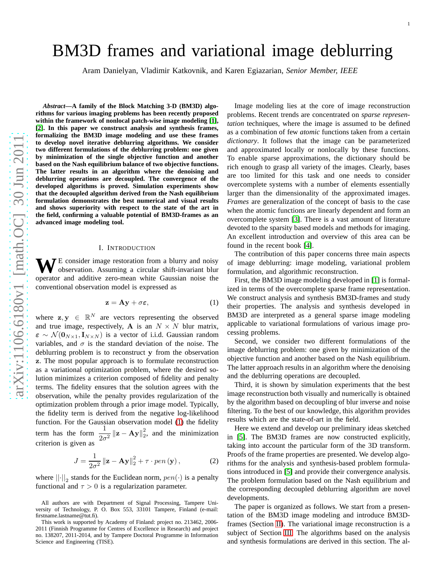# BM3D frames and variational image deblurring

Aram Danielyan, Vladimir Katkovnik, and Karen Egiazarian, *Senior Member, IEEE*

*Abstract***—A family of the Block Matching 3-D (BM3D) algorithms for various imaging problems has been recently proposed within the framework of nonlocal patch-wise image modeling [\[1\]](#page-11-0), [\[2\]](#page-11-1). In this paper we construct analysis and synthesis frames, formalizing the BM3D image modeling and use these frames to develop novel iterative deblurring algorithms. We consider two different formulations of the deblurring problem: one given by minimization of the single objective function and anothe r based on the Nash equilibrium balance of two objective functions. The latter results in an algorithm where the denoising and deblurring operations are decoupled. The convergence of th e developed algorithms is proved. Simulation experiments show that the decoupled algorithm derived from the Nash equilibrium formulation demonstrates the best numerical and visual results and shows superiority with respect to the state of the art in the field, confirming a valuable potential of BM3D-frames as a n advanced image modeling tool.**

## I. INTRODUCTION

WE consider image restoration from a blurry and noisy observation. Assuming a circular shift-invariant blur operator and additive zero-mean white Gaussian noise the conventional observation model is expressed as

<span id="page-0-0"></span>
$$
z = Ay + \sigma \varepsilon, \tag{1}
$$

where  $z, y \in \mathbb{R}^N$  are vectors representing the observed and true image, respectively, **A** is an  $N \times N$  blur matrix,  $\varepsilon \sim \mathcal{N}(\mathbf{0}_{N\times1}, \mathbf{I}_{N\times N})$  is a vector of i.i.d. Gaussian random variables, and  $\sigma$  is the standard deviation of the noise. The deblurring problem is to reconstruct y from the observation z. The most popular approach is to formulate reconstruction as a variational optimization problem, where the desired so lution minimizes a criterion composed of fidelity and penalty terms. The fidelity ensures that the solution agrees with the observation, while the penalty provides regularization of the optimization problem through a prior image model. Typically, the fidelity term is derived from the negative log-likelihoo d function. For the Gaussian observation model [\(1\)](#page-0-0) the fidelity term has the form  $\frac{1}{2}$  $\frac{1}{2\sigma^2} ||\mathbf{z} - \mathbf{A}\mathbf{y}||_2^2$ , and the minimization criterion is given as

$$
J = \frac{1}{2\sigma^2} ||\mathbf{z} - \mathbf{A}\mathbf{y}||_2^2 + \tau \cdot pen(\mathbf{y}), \qquad (2)
$$

where  $\left\| \cdot \right\|_2$  stands for the Euclidean norm,  $pen(\cdot)$  is a penalty functional and  $\tau > 0$  is a regularization parameter.

All authors are with Department of Signal Processing, Tampere University of Technology, P. O. Box 553, 33101 Tampere, Finland (e-mail: firstname.lastname@tut.fi).

Image modeling lies at the core of image reconstruction problems. Recent trends are concentrated on *sparse representation* techniques, where the image is assumed to be defined as a combination of few *atomic* functions taken from a certain *dictionary*. It follows that the image can be parameterized and approximated locally or nonlocally by these functions. To enable sparse approximations, the dictionary should be rich enough to grasp all variety of the images. Clearly, base s are too limited for this task and one needs to consider overcomplete systems with a number of elements essentially larger than the dimensionality of the approximated images. *Frames* are generalization of the concept of basis to the case when the atomic functions are linearly dependent and form an overcomplete system [\[3\]](#page-11-2). There is a vast amount of literatur e devoted to the sparsity based models and methods for imaging . An excellent introduction and overview of this area can be found in the recent book [\[4\]](#page-11-3).

The contribution of this paper concerns three main aspects of image deblurring: image modeling, variational problem formulation, and algorithmic reconstruction.

First, the BM3D image modeling developed in [\[1\]](#page-11-0) is formalized in terms of the overcomplete sparse frame representation. We construct analysis and synthesis BM3D-frames and study their properties. The analysis and synthesis developed in BM3D are interpreted as a general sparse image modeling applicable to variational formulations of various image processing problems.

Second, we consider two different formulations of the image deblurring problem: one given by minimization of the objective function and another based on the Nash equilibrium. The latter approach results in an algorithm where the denoising and the deblurring operations are decoupled.

Third, it is shown by simulation experiments that the best image reconstruction both visually and numerically is obtained by the algorithm based on decoupling of blur inverse and nois e filtering. To the best of our knowledge, this algorithm provides results which are the state-of-art in the field.

Here we extend and develop our preliminary ideas sketched in [\[5\]](#page-11-4). The BM3D frames are now constructed explicitly, taking into account the particular form of the 3D transform. Proofs of the frame properties are presented. We develop algorithms for the analysis and synthesis-based problem formulations introduced in [\[5\]](#page-11-4) and provide their convergence analysis. The problem formulation based on the Nash equilibrium and the corresponding decoupled deblurring algorithm are nove l developments.

The paper is organized as follows. We start from a presentation of the BM3D image modeling and introduce BM3Dframes (Section [II\)](#page-1-0). The variational image reconstruction is a subject of Section [III.](#page-2-0) The algorithms based on the analysis and synthesis formulations are derived in this section. The al-

This work is supported by Academy of Finland: project no. 213462, 2006- 2011 (Finnish Programme for Centres of Excellence in Research) and project no. 138207, 2011-2014, and by Tampere Doctoral Programme in Information Science and Engineering (TISE).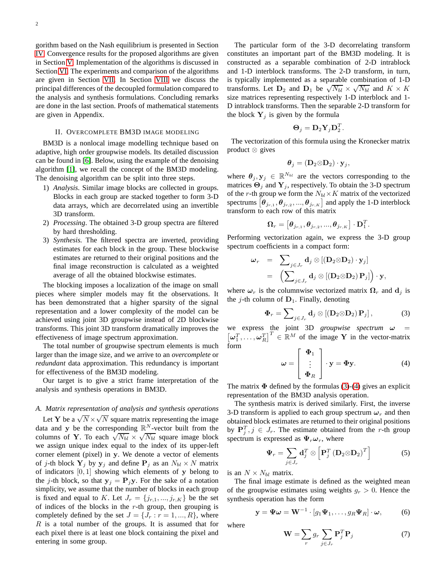gorithm based on the Nash equilibrium is presented in Section [IV.](#page-4-0) Convergence results for the proposed algorithms are given in Section [V.](#page-5-0) Implementation of the algorithms is discussed in Section [VI.](#page-5-1) The experiments and comparison of the algorithms are given in Section [VII.](#page-6-0) In Section [VIII](#page-7-0) we discuss the principal differences of the decoupled formulation compared to the analysis and synthesis formulations. Concluding remarks are done in the last section. Proofs of mathematical statements are given in Appendix.

## II. OVERCOMPLETE BM3D IMAGE MODELING

<span id="page-1-0"></span>BM3D is a nonlocal image modelling technique based on adaptive, high order groupwise models. Its detailed discussion can be found in [\[6\]](#page-11-5). Below, using the example of the denoising algorithm [\[1\]](#page-11-0), we recall the concept of the BM3D modeling. The denoising algorithm can be split into three steps.

- 1) *Analysis*. Similar image blocks are collected in groups. Blocks in each group are stacked together to form 3-D data arrays, which are decorrelated using an invertible 3D transform.
- 2) *Processing*. The obtained 3-D group spectra are filtered by hard thresholding.
- 3) *Synthesis.* The filtered spectra are inverted, providing estimates for each block in the group. These blockwise estimates are returned to their original positions and the final image reconstruction is calculated as a weighted average of all the obtained blockwise estimates.

The blocking imposes a localization of the image on small pieces where simpler models may fit the observations. It has been demonstrated that a higher sparsity of the signal representation and a lower complexity of the model can be achieved using joint 3D groupwise instead of 2D blockwise transforms. This joint 3D transform dramatically improves the effectiveness of image spectrum approximation.

The total number of groupwise spectrum elements is much larger than the image size, and we arrive to an *overcomplete* or *redundant* data approximation. This redundancy is important for effectiveness of the BM3D modeling.

Our target is to give a strict frame interpretation of the analysis and synthesis operations in BM3D.

## *A. Matrix representation of analysis and synthesis operations*

Let Y be a  $\sqrt{N} \times \sqrt{N}$  square matrix representing the image data and y be the corresponding  $\mathbb{R}^N$ -vector built from the columns of Y. To each  $\sqrt{N_{bl}} \times \sqrt{N_{bl}}$  square image block we assign unique index equal to the index of its upper-left corner element (pixel) in y. We denote a vector of elements of j-th block  $Y_j$  by  $y_j$  and define  $P_j$  as an  $N_{bl} \times N$  matrix of indicators  $[0, 1]$  showing which elements of y belong to the j-th block, so that  $y_j = P_j y$ . For the sake of a notation simplicity, we assume that the number of blocks in each group is fixed and equal to K. Let  $J_r = \{j_{r,1},...,j_{r,K}\}\)$  be the set of indices of the blocks in the r-th group, then grouping is completely defined by the set  $J = \{J_r : r = 1, ..., R\}$ , where  $R$  is a total number of the groups. It is assumed that for each pixel there is at least one block containing the pixel and entering in some group.

The particular form of the 3-D decorrelating transform constitutes an important part of the BM3D modeling. It is constructed as a separable combination of 2-D intrablock and 1-D interblock transforms. The 2-D transform, in turn, is typically implemented as a separable combination of 1-D transforms. Let  $D_2$  and  $D_1$  be  $\sqrt{N_{bl}} \times \sqrt{N_{bl}}$  and  $K \times K$ size matrices representing respectively 1-D interblock and 1- D intrablock transforms. Then the separable 2-D transform for the block  $Y_j$  is given by the formula

$$
\mathbf{\Theta}_j = \mathbf{D}_2 \mathbf{Y}_j \mathbf{D}_2^T.
$$

The vectorization of this formula using the Kronecker matrix product ⊗ gives

$$
\boldsymbol{\theta}_j = (\mathbf{D}_2 \otimes \mathbf{D}_2) \cdot \mathbf{y}_j,
$$

where  $\theta_j, \mathbf{y}_j \in \mathbb{R}^{N_{bl}}$  are the vectors corresponding to the matrices  $\mathbf{\Theta}_j$  and  $\mathbf{Y}_j$ , respectively. To obtain the 3-D spectrum of the r-th group we form the  $N_{bl} \times K$  matrix of the vectorized spectrums  $\left[\theta_{j_{r,1}}, \theta_{j_{r,2}}, ..., \theta_{j_{r,K}}\right]$  and apply the 1-D interblock transform to each row of this matrix

$$
\boldsymbol{\Omega}_r = \left[\boldsymbol{\theta}_{j_{r,1}}, \boldsymbol{\theta}_{j_{r,2}}, ..., \boldsymbol{\theta}_{j_{r,K}}\right] \cdot \mathbf{D}_1^T.
$$

Performing vectorization again, we express the 3-D group spectrum coefficients in a compact form:

$$
\begin{array}{rcl} \bm{\omega}_r & = & \displaystyle \sum\nolimits_{j \in J_r} \mathbf{d}_j \otimes [ (\mathbf{D}_2 {\otimes} \mathbf{D}_2) \cdot \mathbf{y}_j] \\ & = & \displaystyle \Bigl( \sum\nolimits_{j \in J_r} \mathbf{d}_j \otimes [ (\mathbf{D}_2 {\otimes} \mathbf{D}_2) \, \mathbf{P}_j] \Bigr) \cdot \mathbf{y}, \end{array}
$$

where  $\omega_r$  is the columnwise vectorized matrix  $\Omega_r$  and  $d_j$  is the *j*-th column of  $D_1$ . Finally, denoting

<span id="page-1-1"></span>
$$
\Phi_r = \sum\nolimits_{j \in J_r} \mathbf{d}_j \otimes \left[ \left( \mathbf{D}_2 \otimes \mathbf{D}_2 \right) \mathbf{P}_j \right],\tag{3}
$$

we express the joint 3D *groupwise spectrum*  $\omega$  =  $\left[\omega_1^T, \ldots, \omega_R^T\right]^T \in \mathbb{R}^M$  of the image Y in the vector-matrix form

<span id="page-1-2"></span>
$$
\omega = \begin{bmatrix} \Phi_1 \\ \vdots \\ \Phi_R \end{bmatrix} \cdot \mathbf{y} = \Phi \mathbf{y}.
$$
 (4)

The matrix  $\Phi$  defined by the formulas [\(3\)](#page-1-1)-[\(4\)](#page-1-2) gives an explicit representation of the BM3D analysis operation.

The synthesis matrix is derived similarly. First, the inverse 3-D transform is applied to each group spectrum  $\omega_r$  and then obtained block estimates are returned to their original positions by  $\mathbf{P}_j^T, j \in J_r$ . The estimate obtained from the r-th group spectrum is expressed as  $\Psi_r \omega_r$ , where

<span id="page-1-3"></span>
$$
\Psi_r = \sum_{j \in J_r} \mathbf{d}_j^T \otimes \left[ \mathbf{P}_j^T \left( \mathbf{D}_2 \otimes \mathbf{D}_2 \right)^T \right] \tag{5}
$$

is an  $N \times N_{bl}$  matrix.

The final image estimate is defined as the weighted mean of the groupwise estimates using weights  $q_r > 0$ . Hence the synthesis operation has the form

<span id="page-1-5"></span>
$$
\mathbf{y} = \mathbf{\Psi}\boldsymbol{\omega} = \mathbf{W}^{-1} \cdot [g_1 \mathbf{\Psi}_1, \dots, g_R \mathbf{\Psi}_R] \cdot \boldsymbol{\omega}, \tag{6}
$$

where

<span id="page-1-4"></span>
$$
\mathbf{W} = \sum_{r} g_r \sum_{j \in J_r} \mathbf{P}_j^T \mathbf{P}_j \tag{7}
$$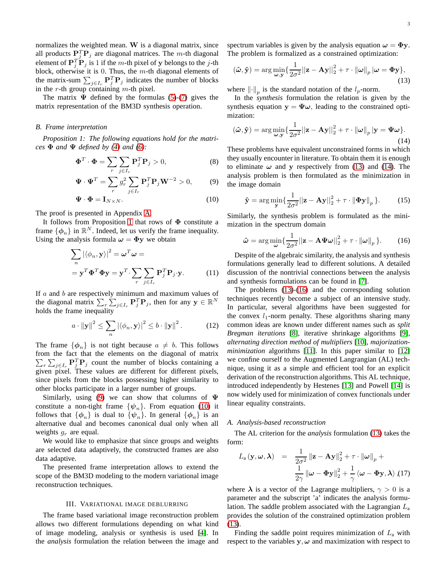normalizes the weighted mean. W is a diagonal matrix, since all products  $\mathbf{P}_j^T \mathbf{P}_j$  are diagonal matrices. The *m*-th diagonal element of  $\mathbf{P}_j^T \mathbf{\tilde{P}}_j$  is 1 if the *m*-th pixel of y belongs to the *j*-th block, otherwise it is 0. Thus, the  $m$ -th diagonal elements of the matrix-sum  $\sum_{j\in I_r} \mathbf{P}_j^T \mathbf{P}_j$  indicates the number of blocks in the r-th group containing  $m$ -th pixel.

The matrix  $\Psi$  defined by the formulas [\(5\)](#page-1-3)-[\(7\)](#page-1-4) gives the matrix representation of the BM3D synthesis operation.

# <span id="page-2-1"></span>*B. Frame interpretation*

*Proposition 1: The following equations hold for the matri* $ces \Phi$  *and*  $\Psi$  *defined by* [\(4\)](#page-1-2) *and* [\(6\)](#page-1-5):

<span id="page-2-2"></span>
$$
\mathbf{\Phi}^T \cdot \mathbf{\Phi} = \sum_r \sum_{j \in I_r} \mathbf{P}_j^T \mathbf{P}_j > 0,
$$
 (8)

$$
\mathbf{\Psi} \cdot \mathbf{\Psi}^T = \sum_r g_r^2 \sum_{j \in I_r} \mathbf{P}_j^T \mathbf{P}_j \mathbf{W}^{-2} > 0, \quad (9)
$$

$$
\mathbf{\Psi} \cdot \mathbf{\Phi} = \mathbf{I}_{N \times N}.\tag{10}
$$

The proof is presented in Appendix [A.](#page-7-1)

It follows from Proposition [1](#page-2-1) that rows of  $\Phi$  constitute a frame  $\{\phi_n\}$  in  $\mathbb{R}^N$ . Indeed, let us verify the frame inequality. Using the analysis formula  $\omega = \Phi y$  we obtain

$$
\sum_{n} |\langle \phi_n, \mathbf{y} \rangle|^2 = \boldsymbol{\omega}^T \boldsymbol{\omega} =
$$

$$
= \mathbf{y}^T \boldsymbol{\Phi}^T \boldsymbol{\Phi} \mathbf{y} = \mathbf{y}^T \cdot \sum_{r} \sum_{j \in I_r} \mathbf{P}_j^T \mathbf{P}_j \cdot \mathbf{y}.
$$
 (11)

If  $a$  and  $b$  are respectively minimum and maximum values of the diagonal matrix  $\sum_{r} \sum_{j \in I_r} \mathbf{P}_j^T \mathbf{P}_j$ , then for any  $\mathbf{y} \in \mathbb{R}^N$ holds the frame inequality

$$
a \cdot ||\mathbf{y}||^2 \le \sum_n |\langle \phi_n, \mathbf{y} \rangle|^2 \le b \cdot ||\mathbf{y}||^2. \tag{12}
$$

The frame  $\{\phi_n\}$  is not tight because  $a \neq b$ . This follows from the fact that the elements on the diagonal of matrix  $\sum_{r} \sum_{j \in I_r} \mathbf{P}_j^T \mathbf{P}_j$  count the number of blocks containing a given pixel. These values are different for different pixels, since pixels from the blocks possessing higher similarity to other blocks participate in a larger number of groups.

Similarly, using [\(9\)](#page-2-2) we can show that columns of  $\Psi$ constitute a non-tight frame  $\{\psi_n\}$ . From equation [\(10\)](#page-2-2) it follows that  $\{\phi_n\}$  is dual to  $\{\psi_n\}$ . In general  $\{\phi_n\}$  is an alternative dual and becomes canonical dual only when all weights  $q_r$  are equal.

We would like to emphasize that since groups and weights are selected data adaptively, the constructed frames are also data adaptive.

The presented frame interpretation allows to extend the scope of the BM3D modeling to the modern variational image reconstruction techniques.

#### III. VARIATIONAL IMAGE DEBLURRING

<span id="page-2-0"></span>The frame based variational image reconstruction problem allows two different formulations depending on what kind of image modeling, analysis or synthesis is used [\[4\]](#page-11-3). In the *analysis* formulation the relation between the image and spectrum variables is given by the analysis equation  $\omega = \Phi y$ . The problem is formalized as a constrained optimization:

<span id="page-2-3"></span>
$$
(\hat{\boldsymbol{\omega}}, \hat{\mathbf{y}}) = \arg\min_{\boldsymbol{\omega}, \mathbf{y}} \{ \frac{1}{2\sigma^2} ||\mathbf{z} - \mathbf{A}\mathbf{y}||_2^2 + \tau \cdot ||\boldsymbol{\omega}||_p \, |\boldsymbol{\omega} = \boldsymbol{\Phi}\mathbf{y}\},\tag{13}
$$

where  $\left\| \cdot \right\|_p$  is the standard notation of the  $l_p$ -norm.

In the *synthesis* formulation the relation is given by the synthesis equation  $y = \Psi \omega$ , leading to the constrained optimization:

<span id="page-2-4"></span>
$$
(\hat{\boldsymbol{\omega}}, \hat{\mathbf{y}}) = \arg\min_{\boldsymbol{\omega}, \mathbf{y}} \{ \frac{1}{2\sigma^2} ||\mathbf{z} - \mathbf{A}\mathbf{y}||_2^2 + \tau \cdot ||\boldsymbol{\omega}||_p \, |\mathbf{y} = \boldsymbol{\Psi}\boldsymbol{\omega}\}.
$$
\n(14)

These problems have equivalent unconstrained forms in which they usually encounter in literature. To obtain them it is enough to eliminate  $\omega$  and y respectively from [\(13\)](#page-2-3) and [\(14\)](#page-2-4). The analysis problem is then formulated as the minimization in the image domain

$$
\hat{\mathbf{y}} = \arg\min_{\mathbf{y}} \{ \frac{1}{2\sigma^2} ||\mathbf{z} - \mathbf{A}\mathbf{y}||_2^2 + \tau \cdot ||\mathbf{\Phi}\mathbf{y}||_p \}.
$$
 (15)

Similarly, the synthesis problem is formulated as the minimization in the spectrum domain

<span id="page-2-5"></span>
$$
\hat{\boldsymbol{\omega}} = \arg\min_{\boldsymbol{\omega}} \{ \frac{1}{2\sigma^2} ||\mathbf{z} - \mathbf{A}\boldsymbol{\Psi}\boldsymbol{\omega}||_2^2 + \tau \cdot ||\boldsymbol{\omega}||_p \}.
$$
 (16)

Despite of the algebraic similarity, the analysis and synthesis formulations generally lead to different solutions. A detailed discussion of the nontrivial connections between the analysis and synthesis formulations can be found in [\[7\]](#page-11-6).

The problems [\(13\)](#page-2-3)-[\(16\)](#page-2-5) and the corresponding solution techniques recently become a subject of an intensive study. In particular, several algorithms have been suggested for the convex  $l_1$ -norm penalty. These algorithms sharing many common ideas are known under different names such as *split Bregman iterations* [\[8\]](#page-11-7)*,* iterative shrinkage algorithms [\[9\]](#page-11-8)*, alternating direction method of multipliers* [\[10\]](#page-11-9), *majorizationminimization* algorithms [\[11\]](#page-11-10). In this paper similar to [\[12\]](#page-11-11) we confine ourself to the Augmented Langrangian (AL) technique, using it as a simple and efficient tool for an explicit derivation of the reconstruction algorithms. This AL technique, introduced independently by Hestenes [\[13\]](#page-11-12) and Powell [\[14\]](#page-11-13) is now widely used for minimization of convex functionals under linear equality constraints.

#### *A. Analysis-based reconstruction*

The AL criterion for the *analysis* formulation [\(13\)](#page-2-3) takes the form:

<span id="page-2-6"></span>
$$
L_{\mathbf{a}}(\mathbf{y}, \boldsymbol{\omega}, \boldsymbol{\lambda}) = \frac{1}{2\sigma^2} \left\| \mathbf{z} - \mathbf{A} \mathbf{y} \right\|_2^2 + \tau \cdot \left\| \boldsymbol{\omega} \right\|_p + \frac{1}{2\gamma} \left\| \boldsymbol{\omega} - \mathbf{\Phi} \mathbf{y} \right\|_2^2 + \frac{1}{\gamma} \left\langle \boldsymbol{\omega} - \mathbf{\Phi} \mathbf{y}, \boldsymbol{\lambda} \right\rangle, (17)
$$

where  $\lambda$  is a vector of the Lagrange multipliers,  $\gamma > 0$  is a parameter and the subscript 'a' indicates the analysis formulation. The saddle problem associated with the Lagrangian  $L_a$ provides the solution of the constrained optimization problem [\(13\)](#page-2-3).

Finding the saddle point requires minimization of  $L<sub>a</sub>$  with respect to the variables  $y, \omega$  and maximization with respect to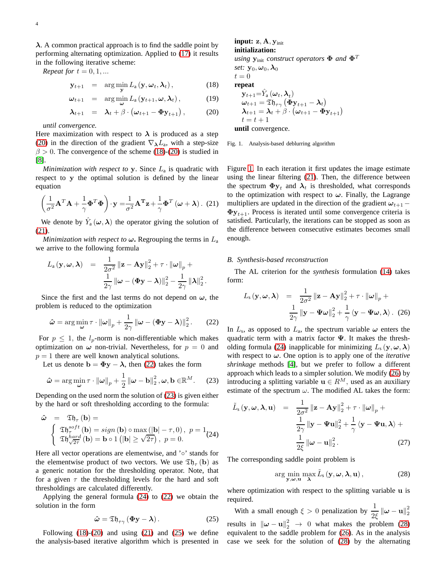$\lambda$ . A common practical approach is to find the saddle point by performing alternating optimization. Applied to [\(17\)](#page-2-6) it results in the following iterative scheme:

*Repeat for*  $t = 0, 1, \dots$ 

<span id="page-3-0"></span>
$$
\mathbf{y}_{t+1} = \arg\min_{\mathbf{y}} L_{\mathbf{a}}(\mathbf{y}, \boldsymbol{\omega}_t, \boldsymbol{\lambda}_t), \qquad (18)
$$

$$
\boldsymbol{\omega}_{t+1} = \arg \min_{\boldsymbol{\omega}} L_{\mathbf{a}}(\mathbf{y}_{t+1}, \boldsymbol{\omega}, \boldsymbol{\lambda}_t), \quad (19)
$$

$$
\lambda_{t+1} = \lambda_t + \beta \cdot (\boldsymbol{\omega}_{t+1} - \boldsymbol{\Phi} \mathbf{y}_{t+1}), \quad (20)
$$

*until convergence.*

Here maximization with respect to  $\lambda$  is produced as a step [\(20\)](#page-3-0) in the direction of the gradient  $\nabla_{\lambda}L_{\rm a}$ , with a step-size  $\beta > 0$ . The convergence of the scheme [\(18\)](#page-3-0)-[\(20\)](#page-3-0) is studied in [\[8\]](#page-11-7).

*Minimization with respect to* y. Since  $L_a$  is quadratic with respect to y the optimal solution is defined by the linear equation

<span id="page-3-1"></span>
$$
\left(\frac{1}{\sigma^2} \mathbf{A}^T \mathbf{A} + \frac{1}{\gamma} \mathbf{\Phi}^T \mathbf{\Phi}\right) \cdot \mathbf{y} = \frac{1}{\sigma^2} \mathbf{A}^T \mathbf{z} + \frac{1}{\gamma} \mathbf{\Phi}^T \left(\boldsymbol{\omega} + \boldsymbol{\lambda}\right). (21)
$$

We denote by  $\hat{Y}_a(\omega, \lambda)$  the operator giving the solution of [\(21\)](#page-3-1).

*Minimization with respect to*  $\omega$ . Regrouping the terms in  $L_a$ we arrive to the following formula

$$
L_{\mathbf{a}}(\mathbf{y}, \boldsymbol{\omega}, \boldsymbol{\lambda}) = \frac{1}{2\sigma^2} \|\mathbf{z} - \mathbf{A}\mathbf{y}\|_2^2 + \tau \cdot \|\boldsymbol{\omega}\|_p + \frac{1}{2\gamma} \|\boldsymbol{\omega} - (\boldsymbol{\Phi}\mathbf{y} - \boldsymbol{\lambda})\|_2^2 - \frac{1}{2\gamma} \|\boldsymbol{\lambda}\|_2^2.
$$

Since the first and the last terms do not depend on  $\omega$ , the problem is reduced to the optimization

<span id="page-3-2"></span>
$$
\hat{\boldsymbol{\omega}} = \arg\min_{\boldsymbol{\omega}} \tau \cdot ||\boldsymbol{\omega}||_p + \frac{1}{2\gamma} ||\boldsymbol{\omega} - (\boldsymbol{\Phi}\mathbf{y} - \boldsymbol{\lambda})||_2^2. \tag{22}
$$

For  $p \leq 1$ , the  $l_p$ -norm is non-differentiable which makes optimization on  $\omega$  non-trivial. Nevertheless, for  $p = 0$  and  $p = 1$  there are well known analytical solutions.

Let us denote  $\mathbf{b} = \mathbf{\Phi} \mathbf{y} - \mathbf{\lambda}$ , then [\(22\)](#page-3-2) takes the form

<span id="page-3-3"></span>
$$
\hat{\boldsymbol{\omega}} = \arg\min_{\boldsymbol{\omega}} \tau \cdot ||\boldsymbol{\omega}||_p + \frac{1}{2} ||\boldsymbol{\omega} - \mathbf{b}||_2^2, \boldsymbol{\omega}, \mathbf{b} \in \mathbb{R}^M. \tag{23}
$$

Depending on the used norm the solution of [\(23\)](#page-3-3) is given either by the hard or soft thresholding according to the formula:

<span id="page-3-4"></span>
$$
\hat{\boldsymbol{\omega}} = \mathfrak{Th}_{\tau}^{\text{soft}}(\mathbf{b}) =
$$
\n
$$
\begin{cases}\n\mathfrak{Th}_{\tau}^{\text{soft}}(\mathbf{b}) = \text{sign}(\mathbf{b}) \circ \max(|\mathbf{b}| - \tau, 0), \ p = 1 \\
\mathfrak{Th}_{\sqrt{2\tau}}^{\text{hard}}(\mathbf{b}) = \mathbf{b} \circ 1(|\mathbf{b}| \ge \sqrt{2\tau}), \ p = 0.\n\end{cases}
$$
\n(24)

Here all vector operations are elementwise, and '◦' stands for the elementwise product of two vectors. We use  $\mathfrak{Th}_{\tau}(\mathbf{b})$  as a generic notation for the thresholding operator. Note, that for a given  $\tau$  the thresholding levels for the hard and soft thresholdings are calculated differently.

Applying the general formula [\(24\)](#page-3-4) to [\(22\)](#page-3-2) we obtain the solution in the form

<span id="page-3-5"></span>
$$
\hat{\boldsymbol{\omega}} = \mathfrak{Th}_{\tau\gamma} \left( \boldsymbol{\Phi} \mathbf{y} - \boldsymbol{\lambda} \right). \tag{25}
$$

Following  $(18)-(20)$  $(18)-(20)$  and using  $(21)$  and  $(25)$  we define the analysis-based iterative algorithm which is presented in

## **input:** z, A,  $y_{init}$ **initialization:**

*using*  $y_{\text{init}}$  *construct operators*  $\Phi$  *and*  $\Phi$ <sup>*T*</sup> *set:*  $y_0, \omega_0, \lambda_0$  $t = 0$ **repeat**  $\mathbf{y}_{t+1} = \hat{Y}_{\text{a}}\left(\boldsymbol{\omega}_t, \boldsymbol{\lambda}_t\right)$  $\bm{\omega}_{t+1} = \mathfrak{T} \mathfrak{h}_{\tau \gamma}\left(\bm{\Phi} \textbf{y}_{t+1} - \bm{\lambda}_t \right)$  $\bm{\lambda}_{t+1} = \bm{\lambda}_t + \beta \cdot \left(\bm{\omega}_{t+1} - \bm{\Phi} \mathbf{y}_{t+1}\right)$  $t = t + 1$ **until** convergence.

<span id="page-3-6"></span>Fig. 1. Analysis-based deblurring algorithm

Figure [1.](#page-3-6) In each iteration it first updates the image estimate using the linear filtering [\(21\)](#page-3-1). Then, the difference between the spectrum  $\Phi y_t$  and  $\lambda_t$  is thresholded, what corresponds to the optimization with respect to  $\omega$ . Finally, the Lagrange multipliers are updated in the direction of the gradient  $\omega_{t+1}$  –  $\Phi y_{t+1}$ . Process is iterated until some convergence criteria is satisfied. Particularly, the iterations can be stopped as soon as the difference between consecutive estimates becomes small enough.

## *B. Synthesis-based reconstruction*

The AL criterion for the *synthesis* formulation [\(14\)](#page-2-4) takes form:

<span id="page-3-7"></span>
$$
L_{\rm s}(\mathbf{y},\boldsymbol{\omega},\boldsymbol{\lambda}) = \frac{1}{2\sigma^2} ||\mathbf{z} - \mathbf{A}\mathbf{y}||_2^2 + \tau \cdot ||\boldsymbol{\omega}||_p +
$$
  

$$
\frac{1}{2\gamma} ||\mathbf{y} - \boldsymbol{\Psi}\boldsymbol{\omega}||_2^2 + \frac{1}{\gamma} \langle \mathbf{y} - \boldsymbol{\Psi}\boldsymbol{\omega}, \boldsymbol{\lambda} \rangle. \tag{26}
$$

In  $L_s$ , as opposed to  $L_a$ , the spectrum variable  $\omega$  enters the quadratic term with a matrix factor  $\Psi$ . It makes the thresh-olding formula [\(24\)](#page-3-4) inapplicable for minimizing  $L_s(\mathbf{y}, \boldsymbol{\omega}, \boldsymbol{\lambda})$ with respect to  $\omega$ . One option is to apply one of the *iterative shrinkage* methods [\[4\]](#page-11-3), but we prefer to follow a different approach which leads to a simpler solution. We modify [\(26\)](#page-3-7) by introducing a splitting variable  $\mathbf{u} \in R^M$ , used as an auxiliary estimate of the spectrum  $\omega$ . The modified AL takes the form:

<span id="page-3-9"></span>
$$
\tilde{L}_{s}(\mathbf{y}, \omega, \lambda, \mathbf{u}) = \frac{1}{2\sigma^{2}} \|\mathbf{z} - \mathbf{A}\mathbf{y}\|_{2}^{2} + \tau \cdot \|\omega\|_{p} + \frac{1}{2\gamma} \|\mathbf{y} - \Psi\mathbf{u}\|_{2}^{2} + \frac{1}{\gamma} \langle \mathbf{y} - \Psi\mathbf{u}, \lambda \rangle + \frac{1}{2\xi} \|\omega - \mathbf{u}\|_{2}^{2}.
$$
\n(27)

The corresponding saddle point problem is

<span id="page-3-8"></span>
$$
\arg\min_{\mathbf{y},\boldsymbol{\omega},\mathbf{u}}\max_{\boldsymbol{\lambda}}\tilde{L}_{s}\left(\mathbf{y},\boldsymbol{\omega},\boldsymbol{\lambda},\mathbf{u}\right),\tag{28}
$$

where optimization with respect to the splitting variable u is required.

With a small enough  $\xi > 0$  penalization by  $\frac{1}{\gamma}$  $\frac{1}{2\xi}\left\|\boldsymbol{\omega}-\mathbf{u}\right\|_{2}^{2}$ 2 results in  $\|\boldsymbol{\omega} - \mathbf{u}\|_2^2 \to 0$  what makes the problem [\(28\)](#page-3-8) equivalent to the saddle problem for [\(26\)](#page-3-7). As in the analysis case we seek for the solution of [\(28\)](#page-3-8) by the alternating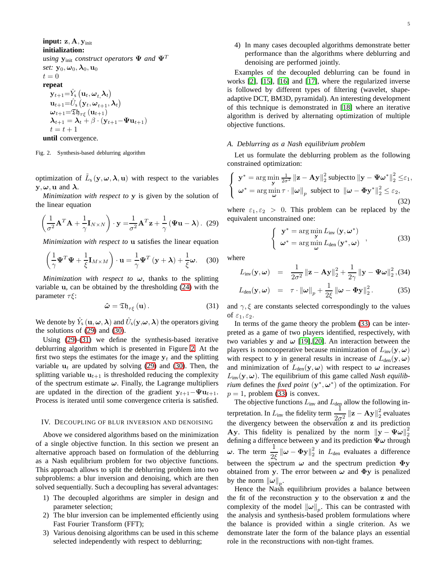**input:**  $z, A, y_{init}$ **initialization:** *using*  $y_{\text{init}}$  *construct operators*  $\Psi$  *and*  $\Psi$ <sup>*T*</sup> *set:*  $y_0$ ,  $\omega_0$ ,  $\lambda_0$ ,  $u_0$  $t = 0$ **repeat**  $\mathbf{y}_{t+1} {=} \hat{Y}_{\mathrm{s}}\left(\mathbf{u}_{t}, \boldsymbol{\omega}_{t, \boldsymbol{\lambda}_{t}}\right)$  $\mathbf{u}_{t+1}$ = $\hat{U}_{\mathrm{s}}\left(\mathbf{y}_t, \boldsymbol{\omega}_{t+1}, \boldsymbol{\lambda}_t\right)$  $\boldsymbol{\omega}_{t+1} = \mathfrak{T} \mathfrak{h}_{\tau \xi} \left( \mathbf{u}_{t+1} \right)$  $\lambda_{t+1} = \lambda_t + \beta \cdot (\mathbf{y}_{t+1} - \Psi \mathbf{u}_{t+1})$  $t = t + 1$ **until** convergence.

<span id="page-4-4"></span>Fig. 2. Synthesis-based deblurring algorithm

optimization of  $\tilde{L}_s(y, \omega, \lambda, u)$  with respect to the variables  $y, \omega, u$  and  $\lambda$ .

*Minimization with respect to* y is given by the solution of the linear equation

<span id="page-4-1"></span>
$$
\left(\frac{1}{\sigma^2} \mathbf{A}^T \mathbf{A} + \frac{1}{\gamma} \mathbf{I}_{N \times N}\right) \cdot \mathbf{y} = \frac{1}{\sigma^2} \mathbf{A}^T \mathbf{z} + \frac{1}{\gamma} \left(\mathbf{\Psi} \mathbf{u} - \mathbf{\lambda}\right). (29)
$$

*Minimization with respect to* u satisfies the linear equation

<span id="page-4-2"></span>
$$
\left(\frac{1}{\gamma}\mathbf{\Psi}^T\mathbf{\Psi} + \frac{1}{\xi}\mathbf{I}_{M\times M}\right) \cdot \mathbf{u} = \frac{1}{\gamma}\mathbf{\Psi}^T\left(\mathbf{y} + \mathbf{\lambda}\right) + \frac{1}{\xi}\boldsymbol{\omega}. \tag{30}
$$

*Minimization with respect to*  $\omega$ , thanks to the splitting variable u, can be obtained by the thresholding [\(24\)](#page-3-4) with the parameter  $\tau \xi$ :

<span id="page-4-3"></span>
$$
\hat{\omega} = \mathfrak{Th}_{\tau\xi}(\mathbf{u}).\tag{31}
$$

We denote by  $\hat{Y}_s(\mathbf{u}, \boldsymbol{\omega}, \boldsymbol{\lambda})$  and  $\hat{U}_s(\mathbf{y}, \boldsymbol{\omega}, \boldsymbol{\lambda})$  the operators giving the solutions of [\(29\)](#page-4-1) and [\(30\)](#page-4-2).

Using [\(29\)](#page-4-1)-[\(31\)](#page-4-3) we define the synthesis-based iterative deblurring algorithm which is presented in Figure [2.](#page-4-4) At the first two steps the estimates for the image  $y_t$  and the splitting variable  $u_t$  are updated by solving [\(29\)](#page-4-1) and [\(30\)](#page-4-2). Then, the splitting variable  $u_{t+1}$  is thresholded reducing the complexity of the spectrum estimate  $\omega$ . Finally, the Lagrange multipliers are updated in the direction of the gradient  $y_{t+1}-\Psi u_{t+1}$ . Process is iterated until some convergence criteria is satisfied.

#### <span id="page-4-0"></span>IV. DECOUPLING OF BLUR INVERSION AND DENOISING

Above we considered algorithms based on the minimization of a single objective function. In this section we present an alternative approach based on formulation of the deblurring as a Nash equlibrium problem for two objective functions. This approach allows to split the deblurring problem into two subproblems: a blur inversion and denoising, which are then solved sequentially. Such a decoupling has several advantages:

- 1) The decoupled algorithms are simpler in design and parameter selection;
- 2) The blur inversion can be implemented efficiently using Fast Fourier Transform (FFT);
- 3) Various denoising algorithms can be used in this scheme selected independently with respect to deblurring;

4) In many cases decoupled algorithms demonstrate better performance than the algorithms where deblurring and denoising are performed jointly.

Examples of the decoupled deblurring can be found in works [\[2\]](#page-11-1), [\[15\]](#page-11-14), [\[16\]](#page-11-15) and [\[17\]](#page-11-16), where the regularized inverse is followed by different types of filtering (wavelet, shapeadaptive DCT, BM3D, pyramidal). An interesting development of this technique is demonstrated in [\[18\]](#page-11-17) where an iterative algorithm is derived by alternating optimization of multiple objective functions.

#### *A. Deblurring as a Nash equilibrium problem*

Let us formulate the deblurring problem as the following constrained optimization:

$$
\begin{cases} \n\mathbf{y}^* = \arg\min_{\mathbf{y}} \frac{1}{2\sigma^2} \left\| \mathbf{z} - \mathbf{A}\mathbf{y} \right\|_2^2 \text{ subject to } \left\| \mathbf{y} - \boldsymbol{\Psi}\boldsymbol{\omega}^* \right\|_2^2 \leq \varepsilon_1, \\ \n\boldsymbol{\omega}^* = \arg\min_{\boldsymbol{\omega}} \tau \cdot \left\| \boldsymbol{\omega} \right\|_p \text{ subject to } \left\| \boldsymbol{\omega} - \boldsymbol{\Phi}\mathbf{y}^* \right\|_2^2 \leq \varepsilon_2, \end{cases}
$$
\n(32)

where  $\varepsilon_1, \varepsilon_2 > 0$ . This problem can be replaced by the equivalent unconstrained one:

<span id="page-4-5"></span>
$$
\begin{cases}\n\mathbf{y}^* = \arg\min_{\mathbf{y}} L_{\text{inv}} \left( \mathbf{y}, \boldsymbol{\omega}^* \right) \\
\boldsymbol{\omega}^* = \arg\min_{\boldsymbol{\omega}} L_{\text{den}} \left( \mathbf{y}^*, \boldsymbol{\omega} \right)\n\end{cases} (33)
$$

where

$$
L_{\text{inv}}(\mathbf{y},\boldsymbol{\omega}) = \frac{1}{2\sigma^2} ||\mathbf{z} - \mathbf{A}\mathbf{y}||_2^2 + \frac{1}{2\gamma} ||\mathbf{y} - \mathbf{\Psi}\boldsymbol{\omega}||_2^2, (34)
$$

$$
L_{\text{den}}(\mathbf{y}, \boldsymbol{\omega}) = \tau \cdot ||\boldsymbol{\omega}||_p + \frac{1}{2\xi} ||\boldsymbol{\omega} - \boldsymbol{\Phi} \mathbf{y}||_2^2. \tag{35}
$$

and  $\gamma$ ,  $\xi$  are constants selected correspondingly to the values of  $\varepsilon_1, \varepsilon_2$ .

In terms of the game theory the problem [\(33\)](#page-4-5) can be interpreted as a game of two players identified, respectively, with two variables y and  $\omega$  [\[19\]](#page-11-18), [\[20\]](#page-11-19). An interaction between the players is noncooperative because minimization of  $L_{\text{inv}}(\mathbf{y}, \omega)$ with respect to y in general results in increase of  $L_{den}(\mathbf{y}, \omega)$ and minimization of  $L_{den}(\mathbf{y}, \omega)$  with respect to  $\omega$  increases  $L_{\text{inv}}(\mathbf{y}, \omega)$ . The equilibrium of this game called *Nash equilibrium* defines the *fixed point*  $(y^*, \omega^*)$  of the optimization. For  $p = 1$ , problem [\(33\)](#page-4-5) is convex.

The objective functions  $L_{\text{inv}}$  and  $L_{\text{dep}}$  allow the following interpretation. In  $L_{\text{inv}}$  the fidelity term  $\frac{1}{2}$  $\frac{1}{2\sigma^2} ||\mathbf{z} - \mathbf{A}\mathbf{y}||_2^2$  evaluates the divergency between the observation z and its prediction Ay. This fidelity is penalized by the norm  $\|\mathbf{y} - \mathbf{\Psi}\boldsymbol{\omega}\|_2^2$ 2 defining a difference between y and its prediction  $\Psi\omega$  through  $\omega$ . The term  $\frac{1}{2\xi} ||\omega - \Phi y||_2^2$  $\frac{2}{2}$  in  $L_{den}$  evaluates a difference between the spectrum  $\omega$  and the spectrum prediction  $\Phi$ y obtained from y. The error between  $\omega$  and  $\Phi$ y is penalized by the norm  $\|\omega\|_p$ .

Hence the Nash equilibrium provides a balance between the fit of the reconstruction y to the observation z and the complexity of the model  $\|\omega\|_p$ . This can be contrasted with the analysis and synthesis-based problem formulations where the balance is provided within a single criterion. As we demonstrate later the form of the balance plays an essential role in the reconstructions with non-tight frames.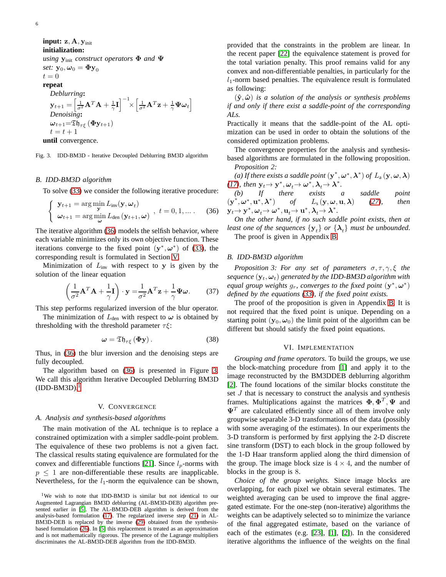**input:** z, A,  $y_{init}$ **initialization:** *using* yinit *construct operators* Φ *and* Ψ *set:*  $y_0$ ,  $\omega_0 = \Phi y_0$  $t = 0$ **repeat** *Deblurring***:**  $\mathbf{y}_{t+1} = \left[\frac{1}{\sigma^2} \mathbf{A}^T \mathbf{A} + \frac{1}{\gamma} \mathbf{I}\right]^{-1} \times \left[\frac{1}{\sigma^2} \mathbf{A}^T \mathbf{z} + \frac{1}{\gamma} \mathbf{\Psi} \boldsymbol{\omega}_t\right]$ *Denoising***:**  $\pmb{\omega}_{t+1}{=}\mathfrak{Th}_{\tau\xi}\left(\pmb{\Phi}\mathbf{y}_{t+1}\right)$  $t = t + 1$ **until** convergence.

<span id="page-5-3"></span>Fig. 3. IDD-BM3D - Iterative Decoupled Deblurring BM3D algorithm

#### *B. IDD-BM3D algorithm*

To solve [\(33\)](#page-4-5) we consider the following iterative procedure:

<span id="page-5-2"></span>
$$
\begin{cases} \mathbf{y}_{t+1} = \arg\min_{\mathbf{y}} L_{\text{inv}}(\mathbf{y}, \boldsymbol{\omega}_t) \\ \boldsymbol{\omega}_{t+1} = \arg\min_{\boldsymbol{\omega}} L_{\text{den}}\left(\mathbf{y}_{t+1}, \boldsymbol{\omega}\right) \end{cases}, \ t = 0, 1, \dots. \tag{36}
$$

The iterative algorithm [\(36\)](#page-5-2) models the selfish behavior, where each variable minimizes only its own objective function. These iterations converge to the fixed point  $(y^*, \omega^*)$  of [\(33\)](#page-4-5), the corresponding result is formulated in Section [V.](#page-5-0)

Minimization of  $L_{\text{inv}}$  with respect to y is given by the solution of the linear equation

<span id="page-5-5"></span>
$$
\left(\frac{1}{\sigma^2} \mathbf{A}^T \mathbf{A} + \frac{1}{\gamma} \mathbf{I}\right) \cdot \mathbf{y} = \frac{1}{\sigma^2} \mathbf{A}^T \mathbf{z} + \frac{1}{\gamma} \mathbf{\Psi} \boldsymbol{\omega}.
$$
 (37)

This step performs regularized inversion of the blur operator.

The minimization of  $L_{den}$  with respect to  $\omega$  is obtained by thresholding with the threshold parameter  $\tau \xi$ :

$$
\omega = \mathfrak{Th}_{\tau\xi}(\Phi \mathbf{y}).\tag{38}
$$

Thus, in [\(36\)](#page-5-2) the blur inversion and the denoising steps are fully decoupled.

The algorithm based on [\(36\)](#page-5-2) is presented in Figure [3.](#page-5-3) We call this algorithm Iterative Decoupled Deblurring BM3D  $(IDD-BM3D).<sup>1</sup>$  $(IDD-BM3D).<sup>1</sup>$  $(IDD-BM3D).<sup>1</sup>$ 

## V. CONVERGENCE

## <span id="page-5-0"></span>*A. Analysis and synthesis-based algorithms*

The main motivation of the AL technique is to replace a constrained optimization with a simpler saddle-point problem. The equivalence of these two problems is not a given fact. The classical results stating equivalence are formulated for the convex and differentiable functions [\[21\]](#page-11-20). Since  $l_p$ -norms with  $p \leq 1$  are non-differentiable these results are inapplicable. Nevertheless, for the  $l_1$ -norm the equivalence can be shown, provided that the constraints in the problem are linear. In the recent paper [\[22\]](#page-11-21) the equivalence statement is proved for the total variation penalty. This proof remains valid for any convex and non-differentiable penalties, in particularly for the  $l_1$ -norm based penalties. The equivalence result is formulated as following:

 $(\hat{\mathbf{y}}, \hat{\boldsymbol{\omega}})$  *is a solution of the analysis or synthesis problems if and only if there exist a saddle-point of the corresponding ALs.*

Practically it means that the saddle-point of the AL optimization can be used in order to obtain the solutions of the considered optimization problems.

<span id="page-5-6"></span>The convergence properties for the analysis and synthesisbased algorithms are formulated in the following proposition. *Proposition 2:*

*(a) If there exists a saddle point*  $(\mathbf{y}^*, \boldsymbol{\omega}^*, \boldsymbol{\lambda}^*)$  *of*  $L_\mathrm{a}(\mathbf{y}, \boldsymbol{\omega}, \boldsymbol{\lambda})$ [\(17\)](#page-2-6)*,* then  $y_t \rightarrow y^*$ ,  $\omega_t \rightarrow \omega^*$ ,  $\lambda_t \rightarrow \lambda^*$ .

*(b) If there exists a saddle point*  $(\mathbf{y}^*,\boldsymbol{\omega}^*,\mathbf{u}^*,\boldsymbol{\lambda}^*$  $\delta$  *of*  $L_s(y, \omega, \mathbf{u}, \boldsymbol{\lambda})$  [\(27\)](#page-3-9), then  $\mathbf{y}_t \rightarrow \mathbf{y}^*, \boldsymbol{\omega}_t \rightarrow \boldsymbol{\omega}^*, \mathbf{u}_t \rightarrow \mathbf{u}^*, \boldsymbol{\lambda}_t \rightarrow \boldsymbol{\lambda}^*.$ 

*On the other hand, if no such saddle point exists, then at* least one of the sequences  $\{y_t\}$  or  $\{\lambda_t\}$  must be unbounded. The proof is given in Appendix [B.](#page-10-0)

#### <span id="page-5-7"></span>*B. IDD-BM3D algorithm*

*Proposition 3: For any set of parameters* σ, τ, γ, ξ *the sequence*  $(\mathbf{y}_t, \boldsymbol{\omega}_t)$  *generated by the IDD-BM3D algorithm with equal group weights*  $g_r$ *, converges to the fixed point*  $(\mathbf{y}^*, \boldsymbol{\omega}^*)$ *defined by the equations [\(33\)](#page-4-5), if the fixed point exists.*

The proof of the proposition is given in Appendix [B.](#page-10-0) It is not required that the fixed point is unique. Depending on a starting point  $(y_0, \omega_0)$  the limit point of the algorithm can be different but should satisfy the fixed point equations.

## VI. IMPLEMENTATION

<span id="page-5-1"></span>*Grouping and frame operators*. To build the groups, we use the block-matching procedure from [\[1\]](#page-11-0) and apply it to the image reconstructed by the BM3DDEB deblurring algorithm [\[2\]](#page-11-1). The found locations of the similar blocks constitute the set  $J$  that is necessary to construct the analysis and synthesis frames. Multiplications against the matrices  $\mathbf{\Phi}, \mathbf{\Phi}^T, \mathbf{\Psi}$  and  $\Psi^T$  are calculated efficiently since all of them involve only groupwise separable 3-D transformations of the data (possibly with some averaging of the estimates). In our experiments the 3-D transform is performed by first applying the 2-D discrete sine transform (DST) to each block in the group followed by the 1-D Haar transform applied along the third dimension of the group. The image block size is  $4 \times 4$ , and the number of blocks in the group is 8.

*Choice of the group weights.* Since image blocks are overlapping, for each pixel we obtain several estimates. The weighted averaging can be used to improve the final aggregated estimate. For the one-step (non-iterative) algorithms the weights can be adaptively selected so to minimize the variance of the final aggregated estimate, based on the variance of each of the estimates (e.g. [\[23\]](#page-11-22), [\[1\]](#page-11-0), [\[2\]](#page-11-1)). In the considered iterative algorithms the influence of the weights on the final

<span id="page-5-4"></span><sup>&</sup>lt;sup>1</sup>We wish to note that IDD-BM3D is similar but not identical to our Augmented Lagrangian BM3D deblurring (AL-BM3D-DEB) algorithm presented earlier in [\[5\]](#page-11-4). The AL-BM3D-DEB algorithm is derived from the analysis-based formulation [\(17\)](#page-2-6). The regularized inverse step [\(21\)](#page-3-1) in AL-BM3D-DEB is replaced by the inverse [\(29\)](#page-4-1) obtained from the synthesisbased formulation [\(26\)](#page-3-7). In [\[5\]](#page-11-4) this replacement is treated as an approximation and is not mathematically rigorous. The presence of the Lagrange multipliers discriminates the AL-BM3D-DEB algorithm from the IDD-BM3D.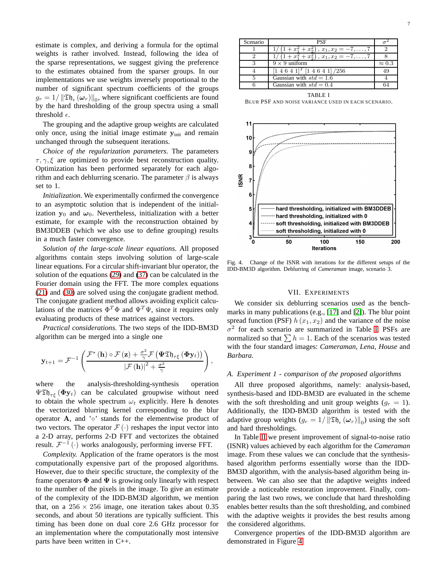estimate is complex, and deriving a formula for the optimal weights is rather involved. Instead, following the idea of the sparse representations, we suggest giving the preference to the estimates obtained from the sparser groups. In our implementations we use weights inversely proportional to the number of significant spectrum coefficients of the groups  $g_r = 1 / ||\mathfrak{T} \mathfrak{h}_{\epsilon}(\omega_r)||_0$ , where significant coefficients are found by the hard thresholding of the group spectra using a small threshold  $\epsilon$ .

The grouping and the adaptive group weights are calculated only once, using the initial image estimate  $y<sub>init</sub>$  and remain unchanged through the subsequent iterations.

*Choice of the regularization parameters*. The parameters  $\tau$ ,  $\gamma$ ,  $\xi$  are optimized to provide best reconstruction quality. Optimization has been performed separately for each algorithm and each deblurring scenario. The parameter  $\beta$  is always set to 1.

*Initialization.* We experimentally confirmed the convergence to an asymptotic solution that is independent of the initialization  $y_0$  and  $\omega_0$ . Nevertheless, initialization with a better estimate, for example with the reconstruction obtained by BM3DDEB (which we also use to define grouping) results in a much faster convergence.

*Solution of the large-scale linear equations*. All proposed algorithms contain steps involving solution of large-scale linear equations. For a circular shift-invariant blur operator, the solution of the equations [\(29](#page-4-1)**)** and **(**[37](#page-5-5)**)** can be calculated in the Fourier domain using the FFT. The more complex equations [\(21\)](#page-3-1) and [\(30\)](#page-4-2) are solved using the conjugate gradient method. The conjugate gradient method allows avoiding explicit calculations of the matrices  $\Phi^T \Phi$  and  $\Psi^T \Psi$ , since it requires only evaluating products of these matrices against vectors.

*Practical considerations.* The two steps of the IDD-BM3D algorithm can be merged into a single one

$$
\mathbf{y}_{t+1} = \mathcal{F}^{-1}\left(\frac{\mathcal{F}^*\left(\mathbf{h}\right) \circ \mathcal{F}\left(\mathbf{z}\right) + \frac{\sigma^2}{\gamma} \mathcal{F}\left(\mathbf{\Psi} \mathfrak{T} \mathfrak{h}_{\tau \xi}\left(\mathbf{\Phi} \mathbf{y}_t\right)\right)}{\left|\mathcal{F}\left(\mathbf{h}\right)\right|^2 + \frac{\sigma^2}{\gamma}}\right),
$$

where the analysis-thresholding-synthesis operation  $\Psi \mathfrak{D}_{\tau \xi} (\Phi \mathbf{y}_t)$  can be calculated groupwise without need to obtain the whole spectrum  $\omega_t$  explicitly. Here h denotes the vectorized blurring kernel corresponding to the blur operator A, and '◦' stands for the elementwise product of two vectors. The operator  $\mathcal{F}(\cdot)$  reshapes the input vector into a 2-D array, performs 2-D FFT and vectorizes the obtained result.  $\mathcal{F}^{-1}(\cdot)$  works analogously, performing inverse FFT.

*Complexity.* Application of the frame operators is the most computationally expensive part of the proposed algorithms. However, due to their specific structure, the complexity of the frame operators  $\Phi$  and  $\Psi$  is growing only linearly with respect to the number of the pixels in the image. To give an estimate of the complexity of the IDD-BM3D algorithm, we mention that, on a  $256 \times 256$  image, one iteration takes about 0.35 seconds, and about 50 iterations are typically sufficient. This timing has been done on dual core 2.6 GHz processor for an implementation where the computationally most intensive parts have been written in C++.

| Scenario | PSF                                                |               |
|----------|----------------------------------------------------|---------------|
|          | $(1+x_1^2+x_2^2), x_1, x_2=-7,\ldots,7$            |               |
|          | $\overline{(1+x_1^2+x_2^2), x_1}, x_2=-7,\ldots,7$ |               |
|          | $9 \times 9$ uniform                               | $\approx 0.3$ |
|          | $[1\;4\;6\;4\;1]^T$ $[1\;4\;6\;4\;1]$ /256         |               |
|          | Gaussian with $std = 1.6$                          |               |
|          | Gaussian with $std = 0.4$                          |               |

<span id="page-6-1"></span>TABLE I BLUR PSF AND NOISE VARIANCE USED IN EACH SCENARIO.



<span id="page-6-2"></span><span id="page-6-0"></span>Fig. 4. Change of the ISNR with iterations for the different setups of the IDD-BM3D algorithm. Deblurring of *Cameraman* image, scenario 3.

## VII. EXPERIMENTS

We consider six deblurring scenarios used as the benchmarks in many publications (e.g., [\[17\]](#page-11-16) and [\[2\]](#page-11-1)). The blur point spread function (PSF)  $h(x_1, x_2)$  and the variance of the noise  $\sigma^2$  for each scenario are summarized in Table [I.](#page-6-1) PSFs are normalized so that  $\sum h = 1$ . Each of the scenarios was tested with the four standard images: *Cameraman, Lena, House* and *Barbara*.

## *A. Experiment 1 - comparison of the proposed algorithms*

All three proposed algorithms, namely: analysis-based, synthesis-based and IDD-BM3D are evaluated in the scheme with the soft thresholding and unit group weights  $(g_r = 1)$ . Additionally, the IDD-BM3D algorithm is tested with the adaptive group weights  $(g_r = 1 / \|\mathfrak{T}\mathfrak{h}_{\epsilon}(\omega_r)\|_0)$  using the soft and hard thresholdings.

In Table [II](#page-9-0) we present improvement of signal-to-noise ratio (ISNR) values achieved by each algorithm for the *Cameraman* image. From these values we can conclude that the synthesisbased algorithm performs essentially worse than the IDD-BM3D algorithm, with the analysis-based algorithm being inbetween. We can also see that the adaptive weights indeed provide a noticeable restoration improvement. Finally, comparing the last two rows, we conclude that hard thresholding enables better results than the soft thresholding, and combined with the adaptive weights it provides the best results among the considered algorithms.

Convergence properties of the IDD-BM3D algorithm are demonstrated in Figure [4.](#page-6-2)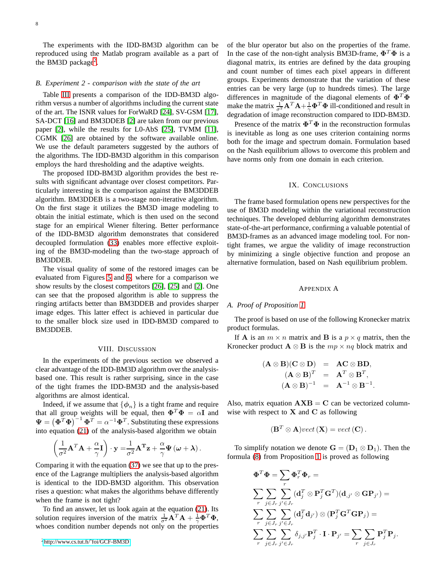The experiments with the IDD-BM3D algorithm can be reproduced using the Matlab program available as a part of the BM3D package<sup>[2](#page-7-2)</sup>.

## *B. Experiment 2 - comparison with the state of the art*

Table [III](#page-9-1) presents a comparison of the IDD-BM3D algorithm versus a number of algorithms including the current state of the art. The ISNR values for ForWaRD [\[24\]](#page-11-23), SV-GSM [\[17\]](#page-11-16), SA-DCT [\[16\]](#page-11-15) and BM3DDEB [\[2\]](#page-11-1) are taken from our previous paper [\[2\]](#page-11-1), while the results for L0-AbS [\[25\]](#page-11-24), TVMM [\[11\]](#page-11-10), CGMK [\[26\]](#page-12-0) are obtained by the software available online. We use the default parameters suggested by the authors of the algorithms. The IDD-BM3D algorithm in this comparison employs the hard thresholding and the adaptive weights.

The proposed IDD-BM3D algorithm provides the best results with significant advantage over closest competitors. Particularly interesting is the comparison against the BM3DDEB algorithm. BM3DDEB is a two-stage non-iterative algorithm. On the first stage it utilizes the BM3D image modeling to obtain the initial estimate, which is then used on the second stage for an empirical Wiener filtering. Better performance of the IDD-BM3D algorithm demonstrates that considered decoupled formulation [\(33\)](#page-4-5) enables more effective exploiting of the BM3D-modeling than the two-stage approach of BM3DDEB.

The visual quality of some of the restored images can be evaluated from Figures [5](#page-8-0) and [6,](#page-8-1) where for a comparison we show results by the closest competitors [\[26\]](#page-12-0), [\[25\]](#page-11-24) and [\[2\]](#page-11-1). One can see that the proposed algorithm is able to suppress the ringing artifacts better than BM3DDEB and provides sharper image edges. This latter effect is achieved in particular due to the smaller block size used in IDD-BM3D compared to BM3DDEB.

## VIII. DISCUSSION

<span id="page-7-0"></span>In the experiments of the previous section we observed a clear advantage of the IDD-BM3D algorithm over the analysisbased one. This result is rather surprising, since in the case of the tight frames the IDD-BM3D and the analysis-based algorithms are almost identical.

Indeed, if we assume that  $\{\phi_n\}$  is a tight frame and require that all group weights will be equal, then  $\mathbf{\Phi}^T \mathbf{\Phi} = \alpha \mathbf{I}$  and  $\Psi = (\Phi^T \Phi)^{-1} \Phi^T = \alpha^{-1} \Phi^T$ . Substituting these expressions into equation [\(21\)](#page-3-1) of the analysis-based algorithm we obtain

$$
\left(\frac{1}{\sigma^2}\mathbf{A}^T\mathbf{A} + \frac{\alpha}{\gamma}\mathbf{I}\right)\cdot\mathbf{y} = \frac{1}{\sigma^2}\mathbf{A}^T\mathbf{z} + \frac{\alpha}{\gamma}\mathbf{\Psi}\left(\boldsymbol{\omega} + \boldsymbol{\lambda}\right).
$$

Comparing it with the equation [\(37\)](#page-5-5) we see that up to the presence of the Lagrange multipliers the analysis-based algorithm is identical to the IDD-BM3D algorithm. This observation rises a question: what makes the algorithms behave differently when the frame is not tight?

<span id="page-7-2"></span>To find an answer, let us look again at the equation [\(21\)](#page-3-1). Its solution requires inversion of the matrix  $\frac{1}{\sigma^2} \mathbf{A}^T \mathbf{A} + \frac{1}{\gamma}$  $\frac{1}{\gamma} \pmb{\Phi}^T \pmb{\Phi},$ whoes condition number depends not only on the properties of the blur operator but also on the properties of the frame. In the case of the non-tight analysis BM3D-frame,  $\mathbf{\Phi}^T \mathbf{\Phi}$  is a diagonal matrix, its entries are defined by the data grouping and count number of times each pixel appears in different groups. Experiments demonstrate that the variation of these entries can be very large (up to hundreds times). The large differences in magnitude of the diagonal elements of  $\mathbf{\Phi}^T \mathbf{\Phi}$ make the matrix  $\frac{1}{\sigma^2} \mathbf{A}^T \mathbf{A} + \frac{1}{\gamma} \mathbf{\Phi}^T \mathbf{\Phi}$  ill-conditioned and result in degradation of image reconstruction compared to IDD-BM3D.

Presence of the matrix  $\mathbf{\Phi}^T \mathbf{\Phi}$  in the reconstruction formulas is inevitable as long as one uses criterion containing norms both for the image and spectrum domain. Formulation based on the Nash equilibrium allows to overcome this problem and have norms only from one domain in each criterion.

# IX. CONCLUSIONS

The frame based formulation opens new perspectives for the use of BM3D modeling within the variational reconstruction techniques. The developed deblurring algorithm demonstrates state-of-the-art performance, confirming a valuable potential of BM3D-frames as an advanced image modeling tool. For nontight frames, we argue the validity of image reconstruction by minimizing a single objective function and propose an alternative formulation, based on Nash equilibrium problem.

#### <span id="page-7-1"></span>APPENDIX A

#### *A. Proof of Proposition [1](#page-2-1)*

The proof is based on use of the following Kronecker matrix product formulas.

If **A** is an  $m \times n$  matrix and **B** is a  $p \times q$  matrix, then the Kronecker product  $\mathbf{A} \otimes \mathbf{B}$  is the  $mp \times nq$  block matrix and

$$
(\mathbf{A} \otimes \mathbf{B})(\mathbf{C} \otimes \mathbf{D}) = \mathbf{A}\mathbf{C} \otimes \mathbf{B}\mathbf{D},
$$
  
\n
$$
(\mathbf{A} \otimes \mathbf{B})^T = \mathbf{A}^T \otimes \mathbf{B}^T,
$$
  
\n
$$
(\mathbf{A} \otimes \mathbf{B})^{-1} = \mathbf{A}^{-1} \otimes \mathbf{B}^{-1}.
$$

Also, matrix equation  $\mathbf{AXB} = \mathbf{C}$  can be vectorized columnwise with respect to  $X$  and  $C$  as following

$$
(\mathbf{B}^T \otimes \mathbf{A})vect(\mathbf{X}) = vect(\mathbf{C}).
$$

To simplify notation we denote  $\mathbf{G} = (\mathbf{D}_1 \otimes \mathbf{D}_1)$ . Then the formula [\(8\)](#page-2-2) from Proposition [1](#page-2-1) is proved as following

$$
\Phi^T \Phi = \sum_r \Phi_r^T \Phi_r =
$$
\n
$$
\sum_r \sum_{j \in J_r} \sum_{j' \in J_r} (\mathbf{d}_j^T \otimes \mathbf{P}_j^T \mathbf{G}^T)(\mathbf{d}_{,j'} \otimes \mathbf{G} \mathbf{P}_{j'}) =
$$
\n
$$
\sum_r \sum_{j \in J_r} \sum_{j' \in J_r} (\mathbf{d}_j^T \mathbf{d}_{j'}) \otimes (\mathbf{P}_j^T \mathbf{G}^T \mathbf{G} \mathbf{P}_j) =
$$
\n
$$
\sum_r \sum_{j \in J_r} \sum_{j' \in J_r} \delta_{j,j'} \mathbf{P}_j^T \cdot \mathbf{I} \cdot \mathbf{P}_{j'} = \sum_r \sum_{j \in J_r} \mathbf{P}_j^T \mathbf{P}_j.
$$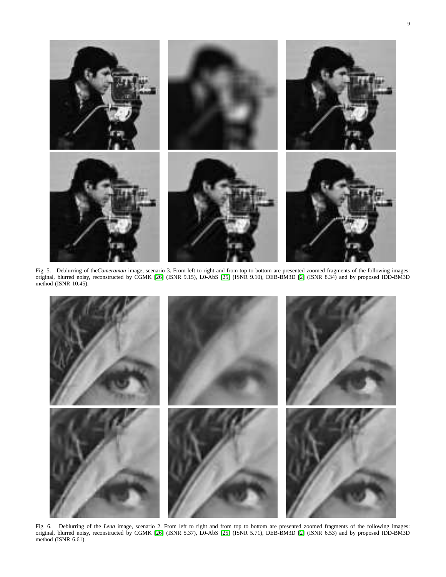

9

<span id="page-8-1"></span><span id="page-8-0"></span>Fig. 5. Deblurring of the*Cameraman* image, scenario 3. From left to right and from top to bottom are presented zoomed fragments of the following images: original, blurred noisy, reconstructed by CGMK [\[26\]](#page-12-0) (ISNR 9.15), L0-AbS [\[25\]](#page-11-24) (ISNR 9.10), DEB-BM3D [\[2\]](#page-11-1) (ISNR 8.34) and by proposed IDD-BM3D method (ISNR 10.45).



Fig. 6. Deblurring of the *Lena* image, scenario 2. From left to right and from top to bottom are presented zoomed fragments of the following images: original, blurred noisy, reconstructed by CGMK [\[26\]](#page-12-0) (ISNR 5.37), L0-AbS [\[25\]](#page-11-24) (ISNR 5.71), DEB-BM3D [\[2\]](#page-11-1) (ISNR 6.53) and by proposed IDD-BM3D method (ISNR 6.61).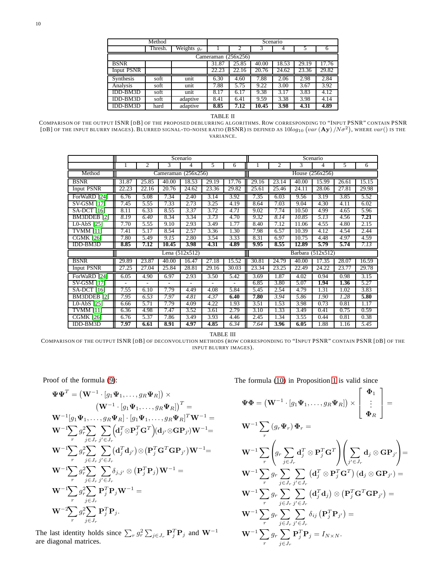|                        | Scenario |               |       |       |       |       |       |       |  |
|------------------------|----------|---------------|-------|-------|-------|-------|-------|-------|--|
|                        | Thresh.  | Weights $q_r$ |       | 2     |       | 4     | 5     | 6     |  |
| (256x256)<br>Cameraman |          |               |       |       |       |       |       |       |  |
| <b>BSNR</b>            |          |               | 31.87 | 25.85 | 40.00 | 18.53 | 29.19 | 17.76 |  |
| Input PSNR             |          |               | 22.23 | 22.16 | 20.76 | 24.62 | 23.36 | 29.82 |  |
| Synthesis              | soft     | unit          | 6.30  | 4.60  | 7.88  | 2.06  | 2.98  | 2.84  |  |
| Analysis               | soft     | unit          | 7.88  | 5.75  | 9.22  | 3.00  | 3.67  | 3.92  |  |
| $IDD-BM3D$             | soft     | unit          | 8.17  | 6.17  | 9.38  | 3.17  | 3.83  | 4.12  |  |
| IDD-BM3D               | soft     | adaptive      | 8.41  | 6.41  | 9.59  | 3.38  | 3.98  | 4.14  |  |
| IDD-BM3D               | hard     | adaptive      | 8.85  | 7.12  | 10.45 | 3.98  | 4.31  | 4.89  |  |

<span id="page-9-0"></span>TABLE II COMPARISON OF THE OUTPUT ISNR [DB] OF THE PROPOSED DEBLURRING ALGORITHMS. ROW CORRESPONDING TO "INPUT PSNR" CONTAIN PSNR [DB] OF THE INPUT BLURRY IMAGES). BLURRED SIGNAL-TO-NOISE RATIO (BSNR) IS DEFINED AS  $10log_{10}$   $(var (\bf{Ay})/N\sigma^2),$  where  $var()$  is the VARIANCE.

|                        | Scenario            |                |              |       |       |        | Scenario        |                   |       |       |       |       |  |
|------------------------|---------------------|----------------|--------------|-------|-------|--------|-----------------|-------------------|-------|-------|-------|-------|--|
|                        | 1                   | 2              | 3            | 4     | 5     | 6      | 1               | $\overline{2}$    | 3     | 4     | 5     | 6     |  |
| Method                 | Cameraman (256x256) |                |              |       |       |        | House (256x256) |                   |       |       |       |       |  |
| <b>BSNR</b>            | 31.87               | 25.85          | 40.00        | 18.53 | 29.19 | 17.76  | 29.16           | 23.14             | 40.00 | 15.99 | 26.61 | 15.15 |  |
| <b>Input PSNR</b>      | 22.23               | 22.16          | 20.76        | 24.62 | 23.36 | 29.82  | 25.61           | 25.46             | 24.11 | 28.06 | 27.81 | 29.98 |  |
| ForWaRD [24]           | 6.76                | 5.08           | 7.34         | 2.40  | 3.14  | 3.92   | 7.35            | 6.03              | 9.56  | 3.19  | 3.85  | 5.52  |  |
| <b>SV-GSM [17]</b>     | 7.45                | 5.55           | 7.33         | 2.73  | 3.25  | 4.19   | 8.64            | 7.03              | 9.04  | 4.30  | 4.11  | 6.02  |  |
| <b>SA-DCT</b> [16]     | 8.11                | 6.33           | 8.55         | 3.37  | 3.72  | 4.71   | 9.02            | 7.74              | 10.50 | 4.99  | 4.65  | 5.96  |  |
| BM3DDEB [2]            | 8.19                | 6.40           | 8.34         | 3.34  | 3.73  | 4.70   | 9.32            | 8.14              | 10.85 | 5.13  | 4.56  | 7.21  |  |
| $L0-AbS$ [25]          | 7.70                | 5.55           | 9.10         | 2.93  | 3.49  | 1.77   | 8.40            | 7.12              | 11.06 | 4.55  | 4.80  | 2.15  |  |
| <b>TVMM [11]</b>       | 7.41                | 5.17           | 8.54         | 2.57  | 3.36  | 1.30   | 7.98            | 6.57              | 10.39 | 4.12  | 4.54  | 2.44  |  |
| $CGMK$ [26]            | 7.80                | 5.49           | 9.15         | 2.80  | 3.54  | 3.33   | 8.31            | 6.97              | 10.75 | 4.48  | 4.97  | 4.59  |  |
| IDD-BM3D               | 8.85                | 7.12           | 10.45        | 3.98  | 4.31  | 4.89   | 9.95            | 8.55              | 12.89 | 5.79  | 5.74  | 7.13  |  |
|                        |                     | Lena (512x512) |              |       |       |        |                 | Barbara (512x512) |       |       |       |       |  |
| <b>BSNR</b>            | 29.89               | 23.87          | 40.00        | 16.47 | 27.18 | 15.52  | 30.81           | 24.79             | 40.00 | 17.35 | 28.07 | 16.59 |  |
| <b>Input PSNR</b>      | 27.25               | 27.04          | 25.84        | 28.81 | 29.16 | 30.03  | 23.34           | 23.25             | 22.49 | 24.22 | 23.77 | 29.78 |  |
| ForWaRD [24]           | 6.05                | 4.90           | 6.97         | 2.93  | 3.50  | 5.42   | 3.69            | 1.87              | 4.02  | 0.94  | 0.98  | 3.15  |  |
| <b>SV-GSM [17]</b>     |                     | ÷              | $\mathbf{r}$ |       |       | $\sim$ | 6.85            | 3.80              | 5.07  | 1.94  | 1.36  | 5.27  |  |
| <b>SA-DCT</b> [16]     | 7.55                | 6.10           | 7.79         | 4.49  | 4.08  | 5.84   | 5.45            | 2.54              | 4.79  | 1.31  | 1.02  | 3.83  |  |
| BM3DDEB <sup>[2]</sup> | 7.95                | 6.53           | 7.97         | 4.81  | 4.37  | 6.40   | 7.80            | 3.94              | 5.86  | 1.90  | 1.28  | 5.80  |  |
| $L0-AbS$ [25]          | 6.66                | 5.71           | 7.79         | 4.09  | 4.22  | 1.93   | 3.51            | 1.53              | 3.98  | 0.73  | 0.81  | 1.17  |  |
| <b>TVMM [11]</b>       | 6.36                | 4.98           | 7.47         | 3.52  | 3.61  | 2.79   | 3.10            | 1.33              | 3.49  | 0.41  | 0.75  | 0.59  |  |
| $CGMK$ [26]            | 6.76                | 5.37           | 7.86         | 3.49  | 3.93  | 4.46   | 2.45            | 1.34              | 3.55  | 0.44  | 0.81  | 0.38  |  |
| <b>IDD-BM3D</b>        | 7.97                | 6.61           | 8.91         | 4.97  | 4.85  | 6.34   | 7.64            | 3.96              | 6.05  | 1.88  | 1.16  | 5.45  |  |

TABLE III

<span id="page-9-1"></span>COMPARISON OF THE OUTPUT ISNR [DB] OF DECONVOLUTION METHODS (ROW CORRESPONDING TO "INPUT PSNR" CONTAIN PSNR [DB] OF THE INPUT BLURRY IMAGES).

Proof of the formula [\(9\)](#page-2-2):

$$
\Psi\Psi^{T} = (\mathbf{W}^{-1} \cdot [g_1 \Psi_1, \dots, g_R \Psi_R]) \times \n(\mathbf{W}^{-1} \cdot [g_1 \Psi_1, \dots, g_R \Psi_R])^{T} = \n\mathbf{W}^{-1} [g_1 \Psi_1, \dots, g_R \Psi_R] \cdot [g_1 \Psi_1, \dots, g_R \Psi_R]^{T} \mathbf{W}^{-1} = \n\mathbf{W}^{-1} \sum_{r} g_r^2 \sum_{j \in J_r} \sum_{j' \in J_r} (\mathbf{d}_j^T \otimes \mathbf{P}_j^T \mathbf{G}^T)(\mathbf{d}_{j'} \otimes \mathbf{G} \mathbf{P}_{j'}) \mathbf{W}^{-1} = \n\mathbf{W}^{-1} \sum_{r} g_r^2 \sum_{j \in J_r} \sum_{j' \in J_r} (\mathbf{d}_j^T \mathbf{d}_{j'}) \otimes (\mathbf{P}_j^T \mathbf{G}^T \mathbf{G} \mathbf{P}_{j'}) \mathbf{W}^{-1} = \n\mathbf{W}^{-1} \sum_{r} g_r^2 \sum_{j \in J_r} \sum_{j' \in J_r} \delta_{j,j'} \otimes (\mathbf{P}_j^T \mathbf{P}_j) \mathbf{W}^{-1} = \n\mathbf{W}^{-1} \sum_{r} g_r^2 \sum_{j \in J_r} \mathbf{P}_j^T \mathbf{P}_j \mathbf{W}^{-1} = \n\mathbf{W}^{-2} \sum_{r} g_r^2 \sum_{j \in J_r} \mathbf{P}_j^T \mathbf{P}_j.
$$

The last identity holds since  $\sum_r g_r^2 \sum_{j \in J_r} \mathbf{P}_j^T \mathbf{P}_j$  and  $\mathbf{W}^{-1}$ are diagonal matrices.

The formula [\(10\)](#page-2-2) in Proposition [1](#page-2-1) is valid since

$$
\Psi \Phi = (\mathbf{W}^{-1} \cdot [g_1 \Psi_1, \dots, g_R \Psi_R]) \times \begin{bmatrix} \Phi_1 \\ \vdots \\ \Phi_R \end{bmatrix} =
$$

$$
\mathbf{W}^{-1} \sum_r (g_r \Psi_r) \Phi_r =
$$

$$
\mathbf{W}^{-1} \sum_r \left( g_r \sum_{j \in J_r} \mathbf{d}_j^T \otimes \mathbf{P}_j^T \mathbf{G}^T \right) \left( \sum_{j' \in J_r} \mathbf{d}_j \otimes \mathbf{G} \mathbf{P}_{j'} \right) =
$$

$$
\mathbf{W}^{-1} \sum_r g_r \sum_{j \in J_r} \sum_{j' \in J_r} (\mathbf{d}_j^T \otimes \mathbf{P}_j^T \mathbf{G}^T) (\mathbf{d}_j \otimes \mathbf{G} \mathbf{P}_{j'}) =
$$

$$
\mathbf{W}^{-1} \sum_r g_r \sum_{j \in J_r} \sum_{j' \in J_r} (\mathbf{d}_j^T \mathbf{d}_j) \otimes (\mathbf{P}_j^T \mathbf{G}^T \mathbf{G} \mathbf{P}_{j'}) =
$$

$$
\mathbf{W}^{-1} \sum_r g_r \sum_{j \in J_r} \sum_{j' \in J_r} \delta_{ij} (\mathbf{P}_j^T \mathbf{P}_{j'}) =
$$

$$
\mathbf{W}^{-1} \sum_r g_r \sum_{j \in J_r} \mathbf{P}_j^T \mathbf{P}_j = I_{N \times N}.
$$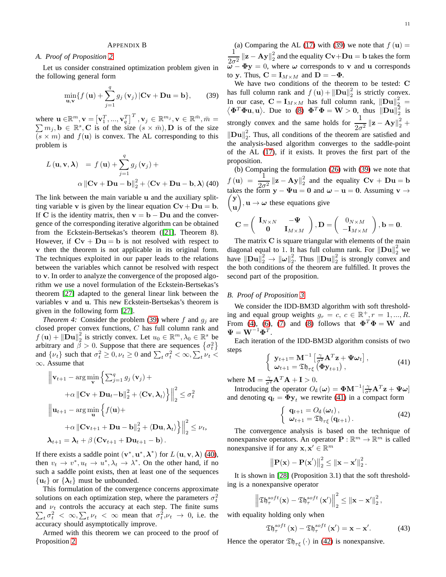## <span id="page-10-0"></span>APPENDIX B

## *A. Proof of Proposition [2](#page-5-6)*

Let us consider constrained optimization problem given in the following general form

<span id="page-10-1"></span>
$$
\min_{\mathbf{u}, \mathbf{v}} \{ f(\mathbf{u}) + \sum_{j=1}^{q} g_j(\mathbf{v}_j) | \mathbf{C} \mathbf{v} + \mathbf{D} \mathbf{u} = \mathbf{b} \}, \qquad (39)
$$

where  $\mathbf{u} \in \mathbb{R}^m$ ,  $\mathbf{v} = [\mathbf{v}_1^T, ..., \mathbf{v}_q^T]^T$ ,  $\mathbf{v}_j \in \mathbb{R}^{m_j}$ ,  $\mathbf{v} \in \mathbb{R}^{\bar{m}}$ ,  $\bar{m} =$ <br> $\sum m_j$ ,  $\mathbf{b} \in \mathbb{R}^s$ ,  $\mathbf{C}$  is of the size  $(s \times \bar{m})$ ,  $\mathbf{D}$  is of the size  $m_j, \mathbf{b} \in \mathbb{R}^s$ , C is of the size  $(s \times \bar{m})$ , D is of the size  $(s \times m)$  and  $f(u)$  is convex. The AL corresponding to this problem is

<span id="page-10-2"></span>
$$
L(\mathbf{u}, \mathbf{v}, \boldsymbol{\lambda}) = f(\mathbf{u}) + \sum_{j=1}^{q} g_j(\mathbf{v}_j) +
$$

$$
\alpha ||\mathbf{C}\mathbf{v} + \mathbf{D}\mathbf{u} - \mathbf{b}||_2^2 + \langle \mathbf{C}\mathbf{v} + \mathbf{D}\mathbf{u} - \mathbf{b}, \boldsymbol{\lambda} \rangle \tag{40}
$$

The link between the main variable u and the auxiliary splitting variable v is given by the linear equation  $Cv + Du = b$ . If C is the identity matrix, then  $v = b - Du$  and the convergence of the corresponding iterative algorithm can be obtained from the Eckstein-Bertsekas's theorem ([\[21\]](#page-11-20), Theorem 8). However, if  $Cv + Du = b$  is not resolved with respect to v then the theorem is not applicable in its original form. The techniques exploited in our paper leads to the relations between the variables which cannot be resolved with respect to v. In order to analyze the convergence of the proposed algorithm we use a novel formulation of the Eckstein-Bertsekas's theorem [\[27\]](#page-12-1) adapted to the general linear link between the variables v and u. This new Eckstein-Bertsekas's theorem is given in the following form [\[27\]](#page-12-1).

*Theorem 4:* Consider the problem [\(39\)](#page-10-1) where  $f$  and  $g_i$  are closed proper convex functions, C has full column rank and  $f\left(\mathbf{u}\right) + \|\mathbf{Du}\|_2^2$ <sup>2</sup>/<sub>2</sub> is strictly convex. Let  $u_0 \in \mathbb{R}^m$ ,  $\lambda_0 \in \mathbb{R}^s$  be arbitrary and  $\tilde{\beta} > 0$ . Suppose that there are sequences  $\{\sigma_t^2\}$ and  $\{v_t\}$  such that  $\sigma_t^2 \geq 0$ ,  $v_t \geq 0$  and  $\sum_t \sigma_t^2 < \infty$ ,  $\sum_t v_t <$ ∞. Assume that

$$
\|\mathbf{v}_{t+1} - \arg\min_{\mathbf{v}} \left\{ \sum_{j=1}^{q} g_j(\mathbf{v}_j) + \\ + \alpha \|\mathbf{C}\mathbf{v} + \mathbf{D}\mathbf{u}_t - \mathbf{b}\|_2^2 + \langle \mathbf{C}\mathbf{v}, \boldsymbol{\lambda}_t \rangle \right\}\|_2^2 \leq \sigma_t^2
$$
  

$$
\left\|\mathbf{u}_{t+1} - \arg\min_{\mathbf{u}} \left\{ f(\mathbf{u}) + \\ + \alpha \left\|\mathbf{C}\mathbf{v}_{t+1} + \mathbf{D}\mathbf{u} - \mathbf{b}\right\|_2^2 + \langle \mathbf{D}\mathbf{u}, \boldsymbol{\lambda}_t \rangle \right\}\right\|_2^2 \leq \nu_t,
$$
  

$$
\boldsymbol{\lambda}_{t+1} = \boldsymbol{\lambda}_t + \beta \left(\mathbf{C}\mathbf{v}_{t+1} + \mathbf{D}\mathbf{u}_{t+1} - \mathbf{b}\right).
$$

If there exists a saddle point  $(v^*, u^*, \lambda^*)$  for  $L(u, v, \lambda)$  [\(40\)](#page-10-2), then  $v_t \to v^*, u_t \to u^*, \lambda_t \to \lambda^*$ . On the other hand, if no such a saddle point exists, then at least one of the sequences  $\{u_t\}$  or  $\{\lambda_t\}$  must be unbounded.

This formulation of the convergence concerns approximate solutions on each optimization step, where the parameters  $\sigma_t^2$ and  $\nu_t$  controls the accuracy at each step. The finite sums and  $\nu_t$  controls the accuracy at each step. The finite sums  $\sum_t \sigma_t^2 < \infty$ ,  $\sum_t \nu_t < \infty$  mean that  $\sigma_t^2$ ,  $\nu_t \to 0$ , i.e. the accuracy should asymptotically improve.

Armed with this theorem we can proceed to the proof of Proposition [2.](#page-5-6)

(a) Comparing the AL [\(17\)](#page-2-6) with [\(39\)](#page-10-1) we note that  $f(\mathbf{u}) =$ 1  $rac{1}{2\sigma^2}$   $\left\| \mathbf{z} - \mathbf{A} \mathbf{y} \right\|_2^2$  $\frac{2}{2}$  and the equality  $\bf{C}v+\bf{D}u = \bf{b}$  takes the form  $\omega - \Phi y = 0$ , where  $\omega$  corresponds to v and u corresponds to y. Thus,  $C = I_{M \times M}$  and  $D = -\Phi$ .

We have two conditions of the theorem to be tested: C has full column rank and  $f(\mathbf{u}) + ||\mathbf{Du}||_2^2$  is strictly convex. In our case,  $\mathbf{C} = \mathbf{I}_{M \times M}$  has full column rank,  $\|\mathbf{D}\mathbf{u}\|_2^2 =$  $\left\langle \mathbf{\Phi}^T\mathbf{\Phi}\mathbf{u},\mathbf{u}\right\rangle$ . Due to [\(8\)](#page-2-2)  $\mathbf{\Phi}^T\mathbf{\Phi}=\mathbf{W}>0$ , thus  $\|\mathbf{D}\mathbf{u}\|_2^2$  $\frac{2}{2}$  is strongly convex and the same holds for  $\frac{1}{2\sigma^2} ||\mathbf{z} - \mathbf{A}\mathbf{y}||_2^2$  +  $\left\Vert \mathbf{Du}\right\Vert _{2}^{2}$  $\frac{2}{2}$ . Thus, all conditions of the theorem are satisfied and the analysis-based algorithm converges to the saddle-point of the AL [\(17\)](#page-2-6), if it exists. It proves the first part of the proposition.

(b) Comparing the formulation [\(26\)](#page-3-7) with [\(39\)](#page-10-1) we note that  $f(\mathbf{u}) = \frac{1}{2\sigma^2} ||\mathbf{z} - \mathbf{A}\mathbf{y}||_2^2$  and the equality  $\mathbf{C}\mathbf{v} + \mathbf{D}\mathbf{u} = \mathbf{b}$ takes the form  $y - \Psi u = 0$  and  $\omega - u = 0$ . Assuming  $v \rightarrow$  $\sqrt{y}$ u  $\Big)$ ,  $\mathbf{u} \to \boldsymbol{\omega}$  these equations give  $\mathbf{C} = \left( \begin{array}{cc} \mathbf{I}_{N \times N} & -\mathbf{\Psi} \ \mathbf{0} & \mathbf{I} \end{array} \right)$  $\mathbf{0}$   $\mathbf{I}_{M \times M}$  $\bigg)$ ,  $\mathbf{D} = \begin{pmatrix} 0_{N \times M} \\ I \end{pmatrix}$  $-\mathbf{I}_{M\times M}$  $\Big)$  ,  $\mathbf{b} = \mathbf{0}$ .

The matrix C is square triangular with elements of the main diagonal equal to 1. It has full column rank. For  $\|\mathbf{D}\mathbf{u}\|_2^2$  we have  $\|\mathbf{D} \mathbf{u}\|_2^2 \to \|\boldsymbol{\omega}\|_2^2$ . Thus  $\|\mathbf{D} \mathbf{u}\|_2^2$  is strongly convex and the both conditions of the theorem are fulfilled. It proves the second part of the proposition.

#### *B. Proof of Proposition [3](#page-5-7)*

We consider the IDD-BM3D algorithm with soft thresholding and equal group weights  $g_r = c, c \in \mathbb{R}^+, r = 1, ..., R$ . From [\(4\)](#page-1-2), [\(6\)](#page-1-5), [\(7\)](#page-1-4) and [\(8\)](#page-2-2) follows that  $\mathbf{\Phi}^T \mathbf{\Phi} = \mathbf{W}$  and  $\Psi = \mathbf{W}^{-1} \mathbf{\Phi}^T$ .

Each iteration of the IDD-BM3D algorithm consists of two steps

<span id="page-10-3"></span>
$$
\begin{cases} \mathbf{y}_{t+1} = \mathbf{M}^{-1} \left[ \frac{\gamma}{\sigma^2} \mathbf{A}^T \mathbf{z} + \mathbf{\Psi} \boldsymbol{\omega}_t \right], \\ \boldsymbol{\omega}_{t+1} = \mathfrak{D}_{\tau \xi} \left( \mathbf{\Phi} \mathbf{y}_{t+1} \right), \end{cases} \tag{41}
$$

where  $\mathbf{M} = \frac{\gamma}{\sigma^2} \mathbf{A}^T \mathbf{A} + \mathbf{I} > 0$ .

Introducing the operator  $O_d(\omega) = \Phi \mathbf{M}^{-1} \left[ \frac{\gamma}{\sigma^2} \mathbf{A}^T \mathbf{z} + \Psi \omega \right]$ and denoting  $\mathbf{q}_t = \mathbf{\Phi} \mathbf{y}_t$  we rewrite [\(41\)](#page-10-3) in a compact form

<span id="page-10-4"></span>
$$
\begin{cases} \mathbf{q}_{t+1} = O_d(\boldsymbol{\omega}_t), \\ \boldsymbol{\omega}_{t+1} = \mathfrak{T} \mathfrak{h}_{\tau \xi}(\mathbf{q}_{t+1}). \end{cases} (42)
$$

The convergence analysis is based on the technique of nonexpansive operators. An operator  $\mathbf{P} : \mathbb{R}^m \to \mathbb{R}^m$  is called nonexpansive if for any  $\mathbf{x}, \mathbf{x}' \in \mathbb{R}^m$ 

$$
\left\|\mathbf{P}(\mathbf{x})-\mathbf{P}(\mathbf{x}')\right\|_2^2 \leq \left\|\mathbf{x}-\mathbf{x}'\right\|_2^2.
$$

It is shown in [\[28\]](#page-12-2) (Proposition 3.1) that the soft thresholding is a nonexpansive operator

$$
\left\|\mathfrak{Th}^{soft}_{\tau}(\mathbf{x})-\mathfrak{Th}^{soft}_{\tau}(\mathbf{x}')\right\|_{2}^{2} \leq \left\|\mathbf{x}-\mathbf{x}'\right\|_{2}^{2},
$$

with equality holding only when

$$
\mathfrak{Th}^{soft}_{\tau}(\mathbf{x}) - \mathfrak{Th}^{soft}_{\tau}(\mathbf{x}') = \mathbf{x} - \mathbf{x}'. \tag{43}
$$

Hence the operator  $\mathfrak{Th}_{\tau\xi}(\cdot)$  in [\(42\)](#page-10-4) is nonexpansive.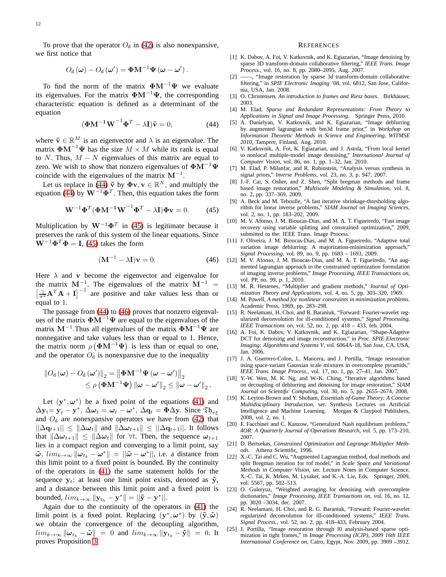To prove that the operator  $O_d$  in [\(42\)](#page-10-4) is also nonexpansive, we first notice that

$$
O_{d}(\omega) - O_{d}(\omega') = \mathbf{\Phi} \mathbf{M}^{-1} \mathbf{\Psi} (\omega - \omega').
$$

To find the norm of the matrix  $\Phi M^{-1}\Psi$  we evaluate its eigenvalues. For the matrix  $\Phi M^{-1}\Psi$ , the corresponding characteristic equation is defined as a determinant of the equation

<span id="page-11-25"></span>
$$
(\mathbf{\Phi}\mathbf{M}^{-1}\mathbf{W}^{-1}\mathbf{\Phi}^T - \lambda \mathbf{I})\tilde{\mathbf{v}} = 0, \tag{44}
$$

where  $\tilde{\mathbf{v}} \in \mathbb{R}^M$  is an eigenvector and  $\lambda$  is an eigenvalue. The matrix  $\mathbf{\Phi} \mathbf{M}^{-1} \mathbf{\Psi}$  has the size  $M \times M$  while its rank is equal to N. Thus,  $M - N$  eigenvalues of this matrix are equal to zero. We wish to show that nonzero eigenvalues of  $\Phi M^{-1}\Psi$ coincide with the eigenvalues of the matrix  $M^{-1}$ .

Let us replace in [\(44\)](#page-11-25)  $\tilde{\mathbf{v}}$  by  $\mathbf{\Phi}\mathbf{v}, \mathbf{v} \in \mathbb{R}^N$ , and multiply the equation [\(44\)](#page-11-25) by  $W^{-1}\Phi^T$ . Then, this equation takes the form

<span id="page-11-26"></span>
$$
\mathbf{W}^{-1}\mathbf{\Phi}^T(\mathbf{\Phi}\mathbf{M}^{-1}\mathbf{W}^{-1}\mathbf{\Phi}^T - \lambda \mathbf{I})\mathbf{\Phi}\mathbf{v} = 0.
$$
 (45)

Multiplication by  $W^{-1}\Phi^T$  in [\(45\)](#page-11-26) is legitimate because it preserves the rank of this system of the linear equations. Since  $W^{-1}\Phi^T\Phi = I$ , [\(45\)](#page-11-26) takes the form

<span id="page-11-27"></span>
$$
(\mathbf{M}^{-1} - \lambda \mathbf{I})\mathbf{v} = 0.
$$
 (46)

.

Here  $\lambda$  and v become the eigenvector and eigenvalue for the matrix  $M^{-1}$ . The eigenvalues of the matrix  $M^{-1}$  =  $\left[\frac{\gamma}{\sigma^2} \mathbf{A}^T \mathbf{A} + \mathbf{I}\right]^{-1}$  are positive and take values less than or equal to 1.

The passage from [\(44\)](#page-11-25) to [\(46\)](#page-11-27) proves that nonzero eigenvalues of the matrix  $\Phi M^{-1} \Psi$  are equal to the eigenvalues of the matrix  $M^{-1}$ . Thus all eigenvalues of the matrix  $\Phi M^{-1} \Psi$  are nonnegative and take values less than or equal to 1. Hence, the matrix norm  $\rho$  ( $\Phi \text{M}^{-1} \Psi$ ) is less than or equal to one, and the operator  $O_d$  is nonexpansive due to the inequality

$$
\begin{aligned} \left\|O_{\text{d}}\left(\boldsymbol{\omega}\right)-O_{\text{d}}\left(\boldsymbol{\omega}'\right)\right\|_{2} &= \left\|\boldsymbol{\Phi}\mathbf{M}^{-1}\boldsymbol{\Psi}\left(\boldsymbol{\omega}-\boldsymbol{\omega}'\right)\right\|_{2} \\ &\leq \rho\left(\boldsymbol{\Phi}\mathbf{M}^{-1}\boldsymbol{\Psi}\right)\left\|\boldsymbol{\omega}-\boldsymbol{\omega}'\right\|_{2} \leq \left\|\boldsymbol{\omega}-\boldsymbol{\omega}'\right\|_{2} \end{aligned}
$$

Let  $(\mathbf{y}^*, \boldsymbol{\omega}^*)$  be a fixed point of the equations [\(41\)](#page-10-3) and  $\Delta y_t = y_t - y^*$ ,  $\Delta \omega_t = \omega_t - \omega^*$ ,  $\Delta q_t = \Phi \Delta y$ . Since  $\mathfrak{Th}_{\tau \xi}$ and  $O_d$  are nonexpansive operators we have from [\(42\)](#page-10-4) that  $||\Delta \mathbf{q}_{t+1}|| \leq ||\Delta \omega_t||$  and  $||\Delta \omega_{t+1}|| \leq ||\Delta \mathbf{q}_{t+1}||$ . It follows that  $\|\Delta\omega_{t+1}\| \leq \|\Delta\omega_t\|$  for  $\forall t$ . Then, the sequence  $\omega_{t+1}$ lies in a compact region and converging to a limit point, say  $\tilde{\omega}$ ,  $\lim_{k \to \infty} ||\omega_{t_k} - \omega^*|| = ||\tilde{\omega} - \omega^*||$ , i.e. a distance from this limit point to a fixed point is bounded. By the continuity of the operators in [\(41\)](#page-10-3) the same statement holds for the sequence  $y_t$ : at least one limit point exists, denoted as  $\tilde{y}$ , and a distance between this limit point and a fixed point is bounded,  $lim_{k\to\infty} ||\mathbf{y}_{t_k} - \mathbf{y}^*|| = ||\tilde{\mathbf{y}} - \mathbf{y}^*||.$ 

Again due to the continuity of the operators in [\(41\)](#page-10-3) the limit point is a fixed point. Replacing  $(y^*, \omega^*)$  by  $(\tilde{y}, \tilde{\omega})$ we obtain the convergence of the decoupling algorithm,  $\lim_{k\to\infty} \|\boldsymbol{\omega}_{t_k} - \boldsymbol{\tilde{\omega}} \| = 0$  and  $\lim_{k\to\infty} \| \mathbf{y}_{t_k} - \boldsymbol{\tilde{y}} \| = 0$ . It proves Proposition [3.](#page-5-7)

#### **REFERENCES**

- <span id="page-11-0"></span>[1] K. Dabov, A. Foi, V. Katkovnik, and K. Egiazarian, "Image denoising by sparse 3D transform-domain collaborative filtering," *IEEE Trans. Image Process.*, vol. 16, no. 8, pp. 2080–2095, Aug. 2007.
- <span id="page-11-1"></span>[2] ——, "Image restoration by sparse 3d transform-domain collaborative filtering," in *SPIE Electronic Imaging '08*, vol. 6812, San Jose, California, USA, Jan. 2008.
- <span id="page-11-3"></span><span id="page-11-2"></span>[3] O. Christensen, *An introduction to frames and Riesz bases*. Birkhäuser, 2003.
- [4] M. Elad, *Sparse and Redundant Representations: From Theory to Applications in Signal and Image Processing*. Springer Press, 2010.
- <span id="page-11-4"></span>[5] A. Danielyan, V. Katkovnik, and K. Egiazarian, "Image deblurring by augmented lagrangian with bm3d frame prior," in *Workshop on Information Theoretic Methods in Science and Engineering, WITMSE 2010*, Tampere, Finland, Aug. 2010.
- <span id="page-11-5"></span>[6] V. Katkovnik, A. Foi, K. Egiazarian, and J. Astola, "From local kernel to nonlocal multiple-model image denoising," *International Journal of Computer Vision*, vol. 86, no. 1, pp. 1–32, Jan. 2010.
- <span id="page-11-6"></span>[7] M. Elad, P. Milanfar, and R. Rubinstein, "Analysis versus synthesis in signal priors," *Inverse Problems*, vol. 23, no. 3, p. 947, 2007.
- <span id="page-11-7"></span>[8] J.-F. Cai, S. Osher, and Z. Shen, "Split bregman methods and frame based image restoration," *Multiscale Modeling & Simulation*, vol. 8, no. 2, pp. 337–369, 2009.
- <span id="page-11-8"></span>[9] A. Beck and M. Teboulle, "A fast iterative shrinkage-thresholding algorithm for linear inverse problems," *SIAM Journal on Imaging Sciences*, vol. 2, no. 1, pp. 183–202, 2009.
- <span id="page-11-9"></span>[10] M. V. Afonso, J. M. Bioucas-Dias, and M. A. T. Figueiredo, "Fast image recovery using variable splitting and constrained optimization," 2009, submitted to the: IEEE Trans. Image Process.
- <span id="page-11-10"></span>[11] J. Oliveira, J. M. Bioucas-Dias, and M. A. Figueiredo, "Adaptive total variation image deblurring: A majorization-minimization approach," *Signal Processing*, vol. 89, no. 9, pp. 1683 – 1693, 2009.
- <span id="page-11-11"></span>[12] M. V. Afonso, J. M. Bioucas-Dias, and M. A. T. Figueiredo, "An augmented lagrangian approach to the constrained optimization formulation of imaging inverse problems," *Image Processing, IEEE Transactions on*, vol. PP, no. 99, p. 1, 2010.
- <span id="page-11-12"></span>[13] M. R. Hestenes, "Multiplier and gradient methods," *Journal of Optimization Theory and Applications*, vol. 4, no. 5, pp. 303–320, 1969.
- <span id="page-11-13"></span>[14] M. Powell, *A method for nonlinear constraints in minimization problems*. Academic Press, 1969, pp. 283–298.
- <span id="page-11-14"></span>[15] R. Neelamani, H. Choi, and R. Baraniuk, "Forward: Fourier-wavelet regularized deconvolution for ill-conditioned systems," *Signal Processing, IEEE Transactions on*, vol. 52, no. 2, pp. 418 – 433, feb. 2004.
- <span id="page-11-15"></span>[16] A. Foi, K. Dabov, V. Katkovnik, and K. Egiazarian, "Shape-Adaptive DCT for denoising and image reconstruction," in *Proc. SPIE Electronic Imaging: Algorithms and Systems V*, vol. 6064A-18, San Jose, CA, USA, Jan. 2006.
- <span id="page-11-16"></span>[17] J. A. Guerrero-Colon, L. Mancera, and J. Portilla, "Image restoration using space-variant Gaussian scale mixtures in overcomplete pyramids,' *IEEE Trans. Image Process.*, vol. 17, no. 1, pp. 27–41, Jan. 2007.
- <span id="page-11-17"></span>[18] Y.-W. Wen, M. K. Ng, and W.-K. Ching, "Iterative algorithms based on decoupling of deblurring and denoising for image restoration," *SIAM Journal on Scientific Computing*, vol. 30, no. 5, pp. 2655–2674, 2008.
- <span id="page-11-18"></span>[19] K. Leyton-Brown and Y. Shoham, *Essentials of Game Theory: A Concise Multidisciplinary Introduction*, ser. Synthesis Lectures on Artificial Intelligence and Machine Learning. Morgan & Claypool Publishers, 2008, vol. 2, no. 1.
- <span id="page-11-19"></span>[20] F. Facchinei and C. Kanzow, "Generalized Nash equilibrium problems," *4OR: A Quarterly Journal of Operations Research*, vol. 5, pp. 173–210, 2007.
- <span id="page-11-20"></span>[21] D. Bertsekas, *Constrained Optimization and Lagrange Multiplier Methods*. Athena Scientific, 1996.
- <span id="page-11-21"></span>[22] X.-C. Tai and C. Wu, "Augmented Lagrangian method, dual methods and split Bregman iteration for rof model," in *Scale Space and Variational Methods in Computer Vision*, ser. Lecture Notes in Computer Science, X.-C. Tai, K. Mrken, M. Lysaker, and K.-A. Lie, Eds. Springer, 2009, vol. 5567, pp. 502–513.
- <span id="page-11-22"></span>[23] O. Guleryuz, "Weighted averaging for denoising with overcomplete dictionaries," *Image Processing, IEEE Transactions on*, vol. 16, no. 12, pp. 3020 –3034, dec. 2007.
- <span id="page-11-23"></span>[24] R. Neelamani, H. Choi, and R. G. Baraniuk, "Forward: Fourier-wavelet regularized deconvolution for ill-conditioned systems," *IEEE Trans. Signal Process.*, vol. 52, no. 2, pp. 418–433, February 2004.
- <span id="page-11-24"></span>[25] J. Portilla, "Image restoration through l0 analysis-based sparse optimization in tight frames," in *Image Processing (ICIP), 2009 16th IEEE International Conference on*, Cairo, Egypt, Nov. 2009, pp. 3909 –3912.